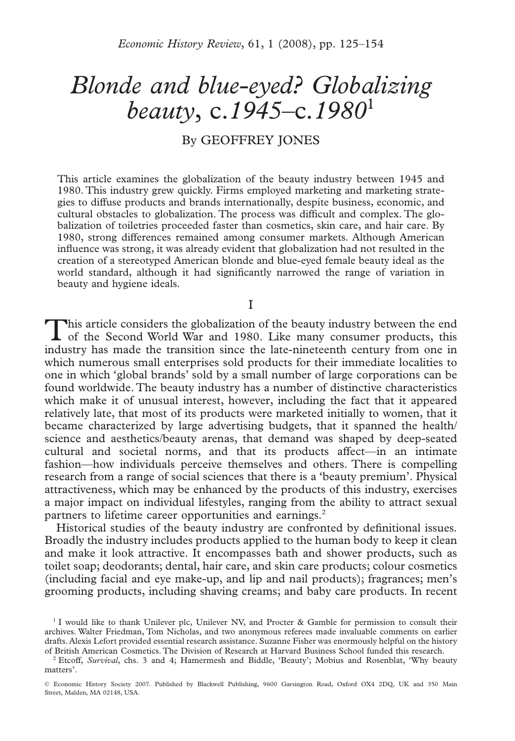# *Blonde and blue-eyed? Globalizing beauty*, c.*1945–*c.*1980*<sup>1</sup>

By GEOFFREY JONES

This article examines the globalization of the beauty industry between 1945 and 1980. This industry grew quickly. Firms employed marketing and marketing strategies to diffuse products and brands internationally, despite business, economic, and cultural obstacles to globalization. The process was difficult and complex. The globalization of toiletries proceeded faster than cosmetics, skin care, and hair care. By 1980, strong differences remained among consumer markets. Although American influence was strong, it was already evident that globalization had not resulted in the creation of a stereotyped American blonde and blue-eyed female beauty ideal as the world standard, although it had significantly narrowed the range of variation in beauty and hygiene ideals.

I

This article considers the globalization of the beauty industry between the end of the Second World War and 1980. Like many consumer products, this industry has made the transition since the late-nineteenth century from one in which numerous small enterprises sold products for their immediate localities to one in which 'global brands' sold by a small number of large corporations can be found worldwide. The beauty industry has a number of distinctive characteristics which make it of unusual interest, however, including the fact that it appeared relatively late, that most of its products were marketed initially to women, that it became characterized by large advertising budgets, that it spanned the health/ science and aesthetics/beauty arenas, that demand was shaped by deep-seated cultural and societal norms, and that its products affect—in an intimate fashion—how individuals perceive themselves and others. There is compelling research from a range of social sciences that there is a 'beauty premium'. Physical attractiveness, which may be enhanced by the products of this industry, exercises a major impact on individual lifestyles, ranging from the ability to attract sexual partners to lifetime career opportunities and earnings.<sup>2</sup>

Historical studies of the beauty industry are confronted by definitional issues. Broadly the industry includes products applied to the human body to keep it clean and make it look attractive. It encompasses bath and shower products, such as toilet soap; deodorants; dental, hair care, and skin care products; colour cosmetics (including facial and eye make-up, and lip and nail products); fragrances; men's grooming products, including shaving creams; and baby care products. In recent

<sup>&</sup>lt;sup>1</sup> I would like to thank Unilever plc, Unilever NV, and Procter & Gamble for permission to consult their archives. Walter Friedman, Tom Nicholas, and two anonymous referees made invaluable comments on earlier drafts. Alexis Lefort provided essential research assistance. Suzanne Fisher was enormously helpful on the history of British American Cosmetics. The Division of Research at Harvard Business School funded this research.

<sup>2</sup> Etcoff, *Survival*, chs. 3 and 4; Hamermesh and Biddle, 'Beauty'; Mobius and Rosenblat, 'Why beauty matters'.

<sup>©</sup> Economic History Society 2007. Published by Blackwell Publishing, 9600 Garsington Road, Oxford OX4 2DQ, UK and 350 Main Street, Malden, MA 02148, USA.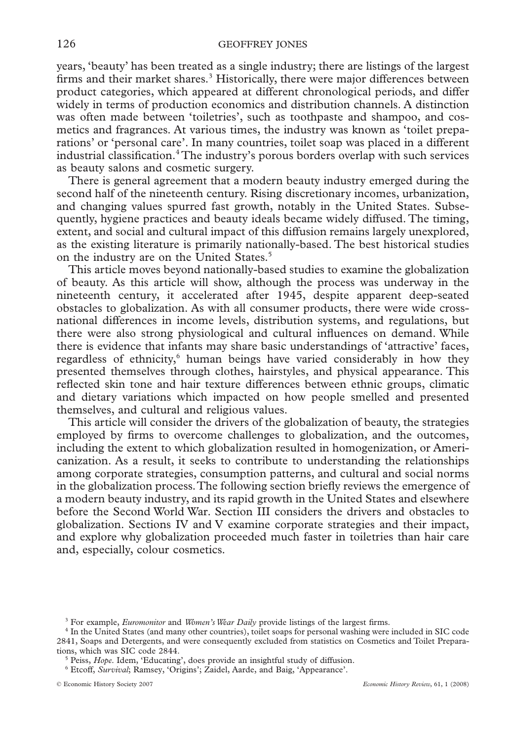years, 'beauty' has been treated as a single industry; there are listings of the largest firms and their market shares.<sup>3</sup> Historically, there were major differences between product categories, which appeared at different chronological periods, and differ widely in terms of production economics and distribution channels. A distinction was often made between 'toiletries', such as toothpaste and shampoo, and cosmetics and fragrances. At various times, the industry was known as 'toilet preparations' or 'personal care'. In many countries, toilet soap was placed in a different industrial classification.<sup>4</sup> The industry's porous borders overlap with such services as beauty salons and cosmetic surgery.

There is general agreement that a modern beauty industry emerged during the second half of the nineteenth century. Rising discretionary incomes, urbanization, and changing values spurred fast growth, notably in the United States. Subsequently, hygiene practices and beauty ideals became widely diffused. The timing, extent, and social and cultural impact of this diffusion remains largely unexplored, as the existing literature is primarily nationally-based. The best historical studies on the industry are on the United States.<sup>5</sup>

This article moves beyond nationally-based studies to examine the globalization of beauty. As this article will show, although the process was underway in the nineteenth century, it accelerated after 1945, despite apparent deep-seated obstacles to globalization. As with all consumer products, there were wide crossnational differences in income levels, distribution systems, and regulations, but there were also strong physiological and cultural influences on demand. While there is evidence that infants may share basic understandings of 'attractive' faces, regardless of ethnicity,<sup>6</sup> human beings have varied considerably in how they presented themselves through clothes, hairstyles, and physical appearance. This reflected skin tone and hair texture differences between ethnic groups, climatic and dietary variations which impacted on how people smelled and presented themselves, and cultural and religious values.

This article will consider the drivers of the globalization of beauty, the strategies employed by firms to overcome challenges to globalization, and the outcomes, including the extent to which globalization resulted in homogenization, or Americanization. As a result, it seeks to contribute to understanding the relationships among corporate strategies, consumption patterns, and cultural and social norms in the globalization process.The following section briefly reviews the emergence of a modern beauty industry, and its rapid growth in the United States and elsewhere before the Second World War. Section III considers the drivers and obstacles to globalization. Sections IV and V examine corporate strategies and their impact, and explore why globalization proceeded much faster in toiletries than hair care and, especially, colour cosmetics.

<sup>&</sup>lt;sup>3</sup> For example, *Euromonitor* and *Women's Wear Daily* provide listings of the largest firms.

<sup>4</sup> In the United States (and many other countries), toilet soaps for personal washing were included in SIC code 2841, Soaps and Detergents, and were consequently excluded from statistics on Cosmetics and Toilet Preparations, which was SIC code 2844.

<sup>5</sup> Peiss, *Hope*. Idem, 'Educating', does provide an insightful study of diffusion.

<sup>6</sup> Etcoff, *Survival*; Ramsey, 'Origins'; Zaidel, Aarde, and Baig, 'Appearance'.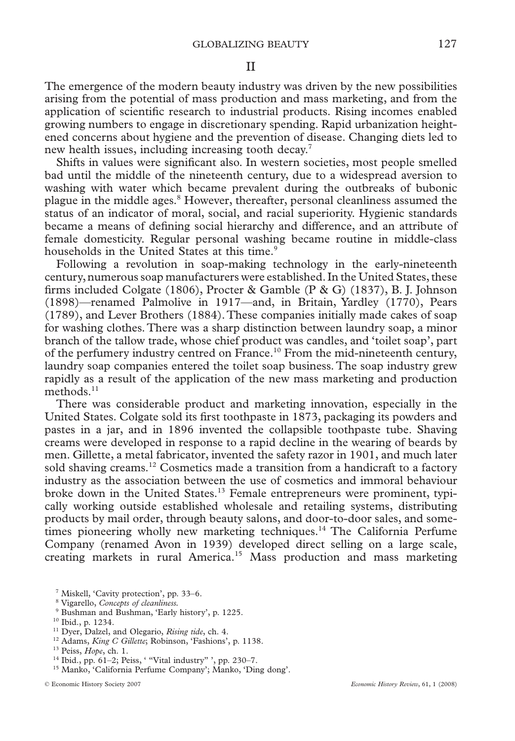The emergence of the modern beauty industry was driven by the new possibilities arising from the potential of mass production and mass marketing, and from the application of scientific research to industrial products. Rising incomes enabled growing numbers to engage in discretionary spending. Rapid urbanization heightened concerns about hygiene and the prevention of disease. Changing diets led to new health issues, including increasing tooth decay.<sup>7</sup>

Shifts in values were significant also. In western societies, most people smelled bad until the middle of the nineteenth century, due to a widespread aversion to washing with water which became prevalent during the outbreaks of bubonic plague in the middle ages.8 However, thereafter, personal cleanliness assumed the status of an indicator of moral, social, and racial superiority. Hygienic standards became a means of defining social hierarchy and difference, and an attribute of female domesticity. Regular personal washing became routine in middle-class households in the United States at this time.<sup>9</sup>

Following a revolution in soap-making technology in the early-nineteenth century, numerous soap manufacturers were established. In the United States, these firms included Colgate (1806), Procter & Gamble (P & G) (1837), B. J. Johnson (1898)—renamed Palmolive in 1917—and, in Britain, Yardley (1770), Pears (1789), and Lever Brothers (1884). These companies initially made cakes of soap for washing clothes. There was a sharp distinction between laundry soap, a minor branch of the tallow trade, whose chief product was candles, and 'toilet soap', part of the perfumery industry centred on France.<sup>10</sup> From the mid-nineteenth century, laundry soap companies entered the toilet soap business. The soap industry grew rapidly as a result of the application of the new mass marketing and production  $methods.<sup>11</sup>$ 

There was considerable product and marketing innovation, especially in the United States. Colgate sold its first toothpaste in 1873, packaging its powders and pastes in a jar, and in 1896 invented the collapsible toothpaste tube. Shaving creams were developed in response to a rapid decline in the wearing of beards by men. Gillette, a metal fabricator, invented the safety razor in 1901, and much later sold shaving creams.<sup>12</sup> Cosmetics made a transition from a handicraft to a factory industry as the association between the use of cosmetics and immoral behaviour broke down in the United States.<sup>13</sup> Female entrepreneurs were prominent, typically working outside established wholesale and retailing systems, distributing products by mail order, through beauty salons, and door-to-door sales, and sometimes pioneering wholly new marketing techniques.<sup>14</sup> The California Perfume Company (renamed Avon in 1939) developed direct selling on a large scale, creating markets in rural America.15 Mass production and mass marketing

<sup>7</sup> Miskell, 'Cavity protection', pp. 33–6.

- <sup>11</sup> Dyer, Dalzel, and Olegario, *Rising tide*, ch. 4.
- <sup>12</sup> Adams, *King C Gillette*; Robinson, 'Fashions', p. 1138.

 $14$  Ibid., pp. 61–2; Peiss, ' "Vital industry" ', pp. 230–7.

<sup>8</sup> Vigarello, *Concepts of cleanliness.*

<sup>9</sup> Bushman and Bushman, 'Early history', p. 1225.

<sup>10</sup> Ibid., p. 1234.

<sup>13</sup> Peiss, *Hope*, ch. 1.

<sup>15</sup> Manko, 'California Perfume Company'; Manko, 'Ding dong'.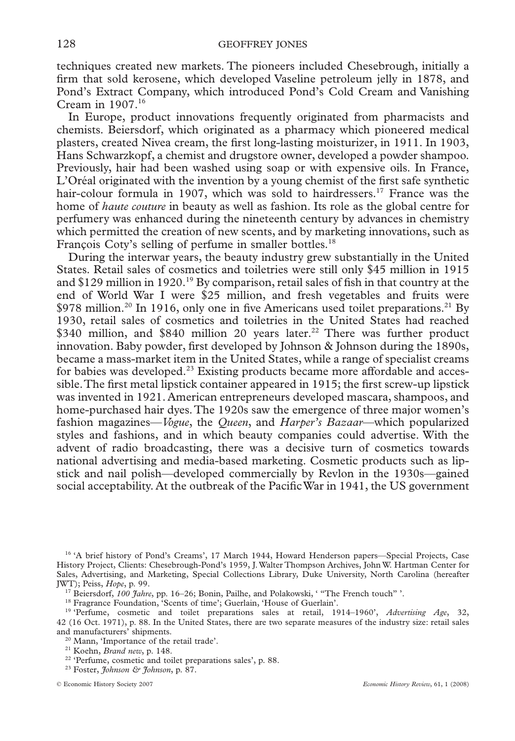techniques created new markets. The pioneers included Chesebrough, initially a firm that sold kerosene, which developed Vaseline petroleum jelly in 1878, and Pond's Extract Company, which introduced Pond's Cold Cream and Vanishing Cream in  $1907$ .<sup>16</sup>

In Europe, product innovations frequently originated from pharmacists and chemists. Beiersdorf, which originated as a pharmacy which pioneered medical plasters, created Nivea cream, the first long-lasting moisturizer, in 1911. In 1903, Hans Schwarzkopf, a chemist and drugstore owner, developed a powder shampoo. Previously, hair had been washed using soap or with expensive oils. In France, L'Oréal originated with the invention by a young chemist of the first safe synthetic hair-colour formula in 1907, which was sold to hairdressers.<sup>17</sup> France was the home of *haute couture* in beauty as well as fashion. Its role as the global centre for perfumery was enhanced during the nineteenth century by advances in chemistry which permitted the creation of new scents, and by marketing innovations, such as François Coty's selling of perfume in smaller bottles.<sup>18</sup>

During the interwar years, the beauty industry grew substantially in the United States. Retail sales of cosmetics and toiletries were still only \$45 million in 1915 and \$129 million in 1920.<sup>19</sup> By comparison, retail sales of fish in that country at the end of World War I were \$25 million, and fresh vegetables and fruits were \$978 million.<sup>20</sup> In 1916, only one in five Americans used toilet preparations.<sup>21</sup> By 1930, retail sales of cosmetics and toiletries in the United States had reached \$340 million, and \$840 million 20 years later.<sup>22</sup> There was further product innovation. Baby powder, first developed by Johnson & Johnson during the 1890s, became a mass-market item in the United States, while a range of specialist creams for babies was developed.<sup>23</sup> Existing products became more affordable and accessible.The first metal lipstick container appeared in 1915; the first screw-up lipstick was invented in 1921. American entrepreneurs developed mascara, shampoos, and home-purchased hair dyes.The 1920s saw the emergence of three major women's fashion magazines—*Vogue*, the *Queen*, and *Harper's Bazaar*—which popularized styles and fashions, and in which beauty companies could advertise. With the advent of radio broadcasting, there was a decisive turn of cosmetics towards national advertising and media-based marketing. Cosmetic products such as lipstick and nail polish—developed commercially by Revlon in the 1930s—gained social acceptability. At the outbreak of the PacificWar in 1941, the US government

<sup>17</sup> Beiersdorf, 100 *Jahre*, pp. 16–26; Bonin, Pailhe, and Polakowski, "The French touch"'.

<sup>18</sup> Fragrance Foundation, 'Scents of time'; Guerlain, 'House of Guerlain'.

<sup>19</sup> 'Perfume, cosmetic and toilet preparations sales at retail, 1914–1960', Advertising Age, 32, 42 (16 Oct. 1971), p. 88. In the United States, there are two separate measures of the industry size: retail sales and manufacturers' shipments.

<sup>23</sup> Foster, *Johnson & Johnson*, p. 87.

<sup>&</sup>lt;sup>16</sup> 'A brief history of Pond's Creams', 17 March 1944, Howard Henderson papers—Special Projects, Case History Project, Clients: Chesebrough-Pond's 1959, J.Walter Thompson Archives, John W. Hartman Center for Sales, Advertising, and Marketing, Special Collections Library, Duke University, North Carolina (hereafter JWT); Peiss, *Hope*, p. 99.

<sup>&</sup>lt;sup>20</sup> Mann, 'Importance of the retail trade'.

<sup>21</sup> Koehn, *Brand new*, p. 148.

<sup>&</sup>lt;sup>22</sup> 'Perfume, cosmetic and toilet preparations sales', p. 88.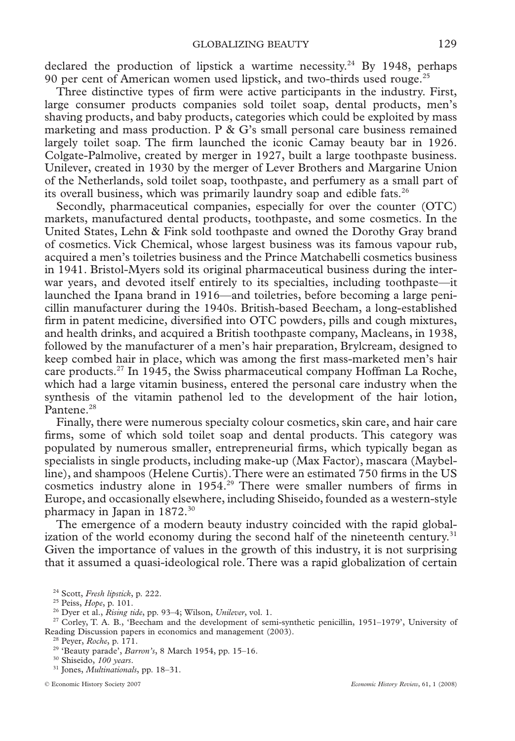declared the production of lipstick a wartime necessity.<sup>24</sup> By 1948, perhaps 90 per cent of American women used lipstick, and two-thirds used rouge.<sup>25</sup>

Three distinctive types of firm were active participants in the industry. First, large consumer products companies sold toilet soap, dental products, men's shaving products, and baby products, categories which could be exploited by mass marketing and mass production.  $P \& G$ 's small personal care business remained largely toilet soap. The firm launched the iconic Camay beauty bar in 1926. Colgate-Palmolive, created by merger in 1927, built a large toothpaste business. Unilever, created in 1930 by the merger of Lever Brothers and Margarine Union of the Netherlands, sold toilet soap, toothpaste, and perfumery as a small part of its overall business, which was primarily laundry soap and edible fats. $26$ 

Secondly, pharmaceutical companies, especially for over the counter (OTC) markets, manufactured dental products, toothpaste, and some cosmetics. In the United States, Lehn & Fink sold toothpaste and owned the Dorothy Gray brand of cosmetics. Vick Chemical, whose largest business was its famous vapour rub, acquired a men's toiletries business and the Prince Matchabelli cosmetics business in 1941. Bristol-Myers sold its original pharmaceutical business during the interwar years, and devoted itself entirely to its specialties, including toothpaste—it launched the Ipana brand in 1916—and toiletries, before becoming a large penicillin manufacturer during the 1940s. British-based Beecham, a long-established firm in patent medicine, diversified into OTC powders, pills and cough mixtures, and health drinks, and acquired a British toothpaste company, Macleans, in 1938, followed by the manufacturer of a men's hair preparation, Brylcream, designed to keep combed hair in place, which was among the first mass-marketed men's hair care products.<sup>27</sup> In 1945, the Swiss pharmaceutical company Hoffman La Roche, which had a large vitamin business, entered the personal care industry when the synthesis of the vitamin pathenol led to the development of the hair lotion, Pantene.<sup>28</sup>

Finally, there were numerous specialty colour cosmetics, skin care, and hair care firms, some of which sold toilet soap and dental products. This category was populated by numerous smaller, entrepreneurial firms, which typically began as specialists in single products, including make-up (Max Factor), mascara (Maybelline), and shampoos (Helene Curtis).There were an estimated 750 firms in the US cosmetics industry alone in 1954.<sup>29</sup> There were smaller numbers of firms in Europe, and occasionally elsewhere, including Shiseido, founded as a western-style pharmacy in Japan in  $1872.^{30}$ 

The emergence of a modern beauty industry coincided with the rapid globalization of the world economy during the second half of the nineteenth century.<sup>31</sup> Given the importance of values in the growth of this industry, it is not surprising that it assumed a quasi-ideological role.There was a rapid globalization of certain

<sup>24</sup> Scott, *Fresh lipstick*, p. 222.

<sup>25</sup> Peiss, *Hope*, p. 101.

<sup>26</sup> Dyer et al., *Rising tide*, pp. 93–4; Wilson, *Unilever*, vol. 1.

<sup>27</sup> Corley, T. A. B., 'Beecham and the development of semi-synthetic penicillin, 1951–1979', University of Reading Discussion papers in economics and management (2003).

<sup>28</sup> Peyer, *Roche*, p. 171.

<sup>29</sup> 'Beauty parade', *Barron's*, 8 March 1954, pp. 15–16.

<sup>30</sup> Shiseido, *100 years*.

<sup>31</sup> Jones, *Multinationals*, pp. 18–31.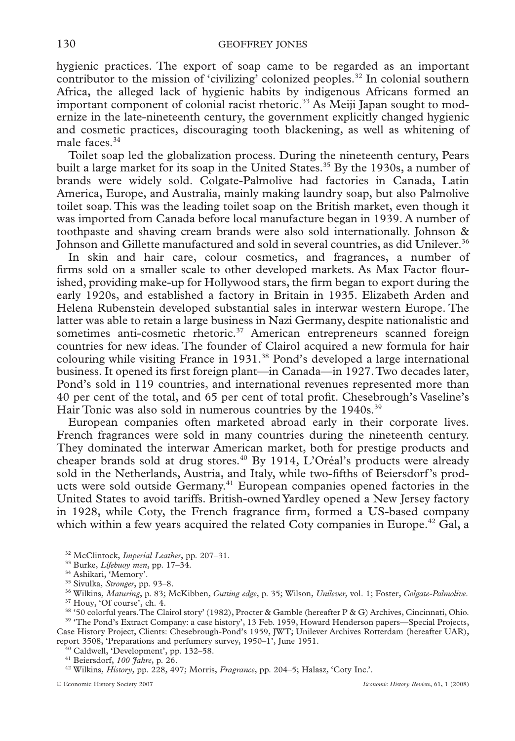hygienic practices. The export of soap came to be regarded as an important contributor to the mission of 'civilizing' colonized peoples.<sup>32</sup> In colonial southern Africa, the alleged lack of hygienic habits by indigenous Africans formed an important component of colonial racist rhetoric.<sup>33</sup> As Meiji Japan sought to modernize in the late-nineteenth century, the government explicitly changed hygienic and cosmetic practices, discouraging tooth blackening, as well as whitening of male faces.<sup>34</sup>

Toilet soap led the globalization process. During the nineteenth century, Pears built a large market for its soap in the United States.<sup>35</sup> By the 1930s, a number of brands were widely sold. Colgate-Palmolive had factories in Canada, Latin America, Europe, and Australia, mainly making laundry soap, but also Palmolive toilet soap. This was the leading toilet soap on the British market, even though it was imported from Canada before local manufacture began in 1939. A number of toothpaste and shaving cream brands were also sold internationally. Johnson & Johnson and Gillette manufactured and sold in several countries, as did Unilever.<sup>36</sup>

In skin and hair care, colour cosmetics, and fragrances, a number of firms sold on a smaller scale to other developed markets. As Max Factor flourished, providing make-up for Hollywood stars, the firm began to export during the early 1920s, and established a factory in Britain in 1935. Elizabeth Arden and Helena Rubenstein developed substantial sales in interwar western Europe. The latter was able to retain a large business in Nazi Germany, despite nationalistic and sometimes anti-cosmetic rhetoric.<sup>37</sup> American entrepreneurs scanned foreign countries for new ideas. The founder of Clairol acquired a new formula for hair colouring while visiting France in 1931.<sup>38</sup> Pond's developed a large international business. It opened its first foreign plant—in Canada—in 1927.Two decades later, Pond's sold in 119 countries, and international revenues represented more than 40 per cent of the total, and 65 per cent of total profit. Chesebrough's Vaseline's Hair Tonic was also sold in numerous countries by the 1940s.<sup>39</sup>

European companies often marketed abroad early in their corporate lives. French fragrances were sold in many countries during the nineteenth century. They dominated the interwar American market, both for prestige products and cheaper brands sold at drug stores.<sup>40</sup> By 1914, L'Oréal's products were already sold in the Netherlands, Austria, and Italy, while two-fifths of Beiersdorf's products were sold outside Germany. $4<sup>1</sup>$  European companies opened factories in the United States to avoid tariffs. British-owned Yardley opened a New Jersey factory in 1928, while Coty, the French fragrance firm, formed a US-based company which within a few years acquired the related Coty companies in Europe.<sup>42</sup> Gal, a

<sup>32</sup> McClintock, *Imperial Leather*, pp. 207–31.

<sup>33</sup> Burke, *Lifebuoy men*, pp. 17–34.

<sup>35</sup> Sivulka, *Stronger*, pp. 93–8.

<sup>36</sup> Wilkins, *Maturing*, p. 83; McKibben, *Cutting edge*, p. 35; Wilson, *Unilever*, vol. 1; Foster, *Colgate-Palmolive*.

<sup>37</sup> Houy, 'Of course', ch. 4.

<sup>38</sup> '50 colorful years.The Clairol story' (1982), Procter & Gamble (hereafter P & G) Archives, Cincinnati, Ohio. <sup>39</sup> 'The Pond's Extract Company: a case history', 13 Feb. 1959, Howard Henderson papers—Special Projects, Case History Project, Clients: Chesebrough-Pond's 1959, JWT; Unilever Archives Rotterdam (hereafter UAR), report 3508, 'Preparations and perfumery survey, 1950–1', June 1951.

<sup>40</sup> Caldwell, 'Development', pp. 132–58.

<sup>42</sup> Wilkins, *History*, pp. 228, 497; Morris, *Fragrance*, pp. 204–5; Halasz, 'Coty Inc.'.

© Economic History Society 2007 *Economic History Review*, 61, 1 (2008)

<sup>&</sup>lt;sup>34</sup> Ashikari, 'Memory'.

<sup>41</sup> Beiersdorf, *100 Jahre*, p. 26.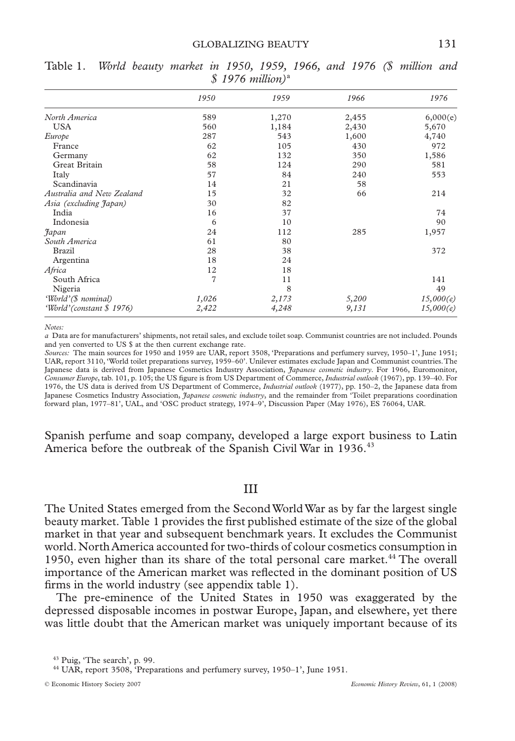|                            | 1950           | 1959  | 1966  | 1976      |
|----------------------------|----------------|-------|-------|-----------|
| North America              | 589            | 1,270 | 2,455 | 6,000(e)  |
| <b>USA</b>                 | 560            | 1,184 | 2,430 | 5,670     |
| Europe                     | 287            | 543   | 1,600 | 4,740     |
| France                     | 62             | 105   | 430   | 972       |
| Germany                    | 62             | 132   | 350   | 1,586     |
| Great Britain              | 58             | 124   | 290   | 581       |
| Italy                      | 57             | 84    | 240   | 553       |
| Scandinavia                | 14             | 21    | 58    |           |
| Australia and New Zealand  | 15             | 32    | 66    | 214       |
| Asia (excluding Japan)     | 30             | 82    |       |           |
| India                      | 16             | 37    |       | 74        |
| Indonesia                  | 6              | 10    |       | 90        |
| Japan                      | 24             | 112   | 285   | 1,957     |
| South America              | 61             | 80    |       |           |
| <b>Brazil</b>              | 28             | 38    |       | 372       |
| Argentina                  | 18             | 24    |       |           |
| Africa                     | 12             | 18    |       |           |
| South Africa               | $\overline{7}$ | 11    |       | 141       |
| Nigeria                    |                | 8     |       | 49        |
| 'World'(\$ nominal)        | 1,026          | 2,173 | 5,200 | 15,000(e) |
| 'World' (constant \$ 1976) | 2,422          | 4,248 | 9,131 | 15,000(e) |

Table 1. *World beauty market in 1950, 1959, 1966, and 1976 (\$ million and \$ 1976 million)*<sup>a</sup>

*Notes:*

*a* Data are for manufacturers' shipments, not retail sales, and exclude toilet soap. Communist countries are not included. Pounds and yen converted to US \$ at the then current exchange rate.

*Sources:* The main sources for 1950 and 1959 are UAR, report 3508, 'Preparations and perfumery survey, 1950–1', June 1951; UAR, report 3110, 'World toilet preparations survey, 1959–60'. Unilever estimates exclude Japan and Communist countries.The Japanese data is derived from Japanese Cosmetics Industry Association, *Japanese cosmetic industry*. For 1966, Euromonitor, *Consumer Europe*, tab. 101, p. 105; the US figure is from US Department of Commerce, *Industrial outlook* (1967), pp. 139–40. For 1976, the US data is derived from US Department of Commerce, *Industrial outlook* (1977), pp. 150–2, the Japanese data from Japanese Cosmetics Industry Association, *Japanese cosmetic industry*, and the remainder from 'Toilet preparations coordination forward plan, 1977–81', UAL, and 'OSC product strategy, 1974–9', Discussion Paper (May 1976), ES 76064, UAR.

Spanish perfume and soap company, developed a large export business to Latin America before the outbreak of the Spanish Civil War in 1936.<sup>43</sup>

#### III

The United States emerged from the SecondWorldWar as by far the largest single beauty market. Table 1 provides the first published estimate of the size of the global market in that year and subsequent benchmark years. It excludes the Communist world. North America accounted for two-thirds of colour cosmetics consumption in 1950, even higher than its share of the total personal care market.44 The overall importance of the American market was reflected in the dominant position of US firms in the world industry (see appendix table 1).

The pre-eminence of the United States in 1950 was exaggerated by the depressed disposable incomes in postwar Europe, Japan, and elsewhere, yet there was little doubt that the American market was uniquely important because of its

<sup>43</sup> Puig, 'The search', p. 99.

<sup>44</sup> UAR, report 3508, 'Preparations and perfumery survey, 1950–1', June 1951.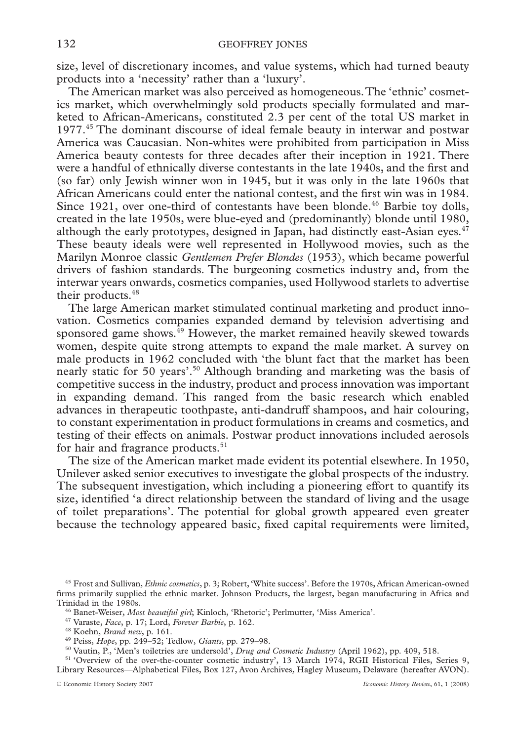size, level of discretionary incomes, and value systems, which had turned beauty products into a 'necessity' rather than a 'luxury'.

The American market was also perceived as homogeneous.The 'ethnic' cosmetics market, which overwhelmingly sold products specially formulated and marketed to African-Americans, constituted 2.3 per cent of the total US market in 1977.45 The dominant discourse of ideal female beauty in interwar and postwar America was Caucasian. Non-whites were prohibited from participation in Miss America beauty contests for three decades after their inception in 1921. There were a handful of ethnically diverse contestants in the late 1940s, and the first and (so far) only Jewish winner won in 1945, but it was only in the late 1960s that African Americans could enter the national contest, and the first win was in 1984. Since 1921, over one-third of contestants have been blonde.46 Barbie toy dolls, created in the late 1950s, were blue-eyed and (predominantly) blonde until 1980, although the early prototypes, designed in Japan, had distinctly east-Asian eyes. $47$ These beauty ideals were well represented in Hollywood movies, such as the Marilyn Monroe classic *Gentlemen Prefer Blondes* (1953), which became powerful drivers of fashion standards. The burgeoning cosmetics industry and, from the interwar years onwards, cosmetics companies, used Hollywood starlets to advertise their products.<sup>48</sup>

The large American market stimulated continual marketing and product innovation. Cosmetics companies expanded demand by television advertising and sponsored game shows. $49$  However, the market remained heavily skewed towards women, despite quite strong attempts to expand the male market. A survey on male products in 1962 concluded with 'the blunt fact that the market has been nearly static for 50 years'.50 Although branding and marketing was the basis of competitive success in the industry, product and process innovation was important in expanding demand. This ranged from the basic research which enabled advances in therapeutic toothpaste, anti-dandruff shampoos, and hair colouring, to constant experimentation in product formulations in creams and cosmetics, and testing of their effects on animals. Postwar product innovations included aerosols for hair and fragrance products.<sup>51</sup>

The size of the American market made evident its potential elsewhere. In 1950, Unilever asked senior executives to investigate the global prospects of the industry. The subsequent investigation, which including a pioneering effort to quantify its size, identified 'a direct relationship between the standard of living and the usage of toilet preparations'. The potential for global growth appeared even greater because the technology appeared basic, fixed capital requirements were limited,

<sup>45</sup> Frost and Sullivan, *Ethnic cosmetics*, p. 3; Robert, 'White success'. Before the 1970s, African American-owned firms primarily supplied the ethnic market. Johnson Products, the largest, began manufacturing in Africa and Trinidad in the 1980s.

<sup>46</sup> Banet-Weiser, *Most beautiful girl*; Kinloch, 'Rhetoric'; Perlmutter, 'Miss America'.

<sup>47</sup> Varaste, *Face*, p. 17; Lord, *Forever Barbie*, p. 162.

<sup>48</sup> Koehn, *Brand new*, p. 161.

<sup>49</sup> Peiss, *Hope*, pp. 249–52; Tedlow, *Giants*, pp. 279–98.

<sup>50</sup> Vautin, P., 'Men's toiletries are undersold', *Drug and Cosmetic Industry* (April 1962), pp. 409, 518.

<sup>51</sup> 'Overview of the over-the-counter cosmetic industry', 13 March 1974, RGII Historical Files, Series 9, Library Resources—Alphabetical Files, Box 127, Avon Archives, Hagley Museum, Delaware (hereafter AVON).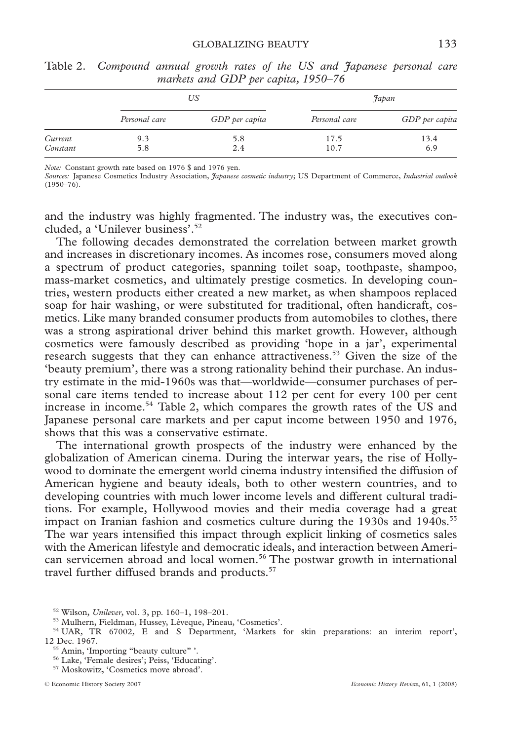|          |               | US             | Japan         |                |  |
|----------|---------------|----------------|---------------|----------------|--|
|          | Personal care | GDP per capita | Personal care | GDP per capita |  |
| Current  | 9.3           | 5.8            | 17.5          | 13.4           |  |
| Constant | 5.8           | 2.4            | 10.7          | 6.9            |  |

Table 2. *Compound annual growth rates of the US and Japanese personal care markets and GDP per capita, 1950–76*

*Note:* Constant growth rate based on 1976 \$ and 1976 yen.

*Sources:* Japanese Cosmetics Industry Association, *Japanese cosmetic industry*; US Department of Commerce, *Industrial outlook* (1950–76).

and the industry was highly fragmented. The industry was, the executives concluded, a 'Unilever business'.52

The following decades demonstrated the correlation between market growth and increases in discretionary incomes. As incomes rose, consumers moved along a spectrum of product categories, spanning toilet soap, toothpaste, shampoo, mass-market cosmetics, and ultimately prestige cosmetics. In developing countries, western products either created a new market, as when shampoos replaced soap for hair washing, or were substituted for traditional, often handicraft, cosmetics. Like many branded consumer products from automobiles to clothes, there was a strong aspirational driver behind this market growth. However, although cosmetics were famously described as providing 'hope in a jar', experimental research suggests that they can enhance attractiveness.<sup>53</sup> Given the size of the 'beauty premium', there was a strong rationality behind their purchase. An industry estimate in the mid-1960s was that—worldwide—consumer purchases of personal care items tended to increase about 112 per cent for every 100 per cent increase in income.54 Table 2, which compares the growth rates of the US and Japanese personal care markets and per caput income between 1950 and 1976, shows that this was a conservative estimate.

The international growth prospects of the industry were enhanced by the globalization of American cinema. During the interwar years, the rise of Hollywood to dominate the emergent world cinema industry intensified the diffusion of American hygiene and beauty ideals, both to other western countries, and to developing countries with much lower income levels and different cultural traditions. For example, Hollywood movies and their media coverage had a great impact on Iranian fashion and cosmetics culture during the 1930s and 1940s.<sup>55</sup> The war years intensified this impact through explicit linking of cosmetics sales with the American lifestyle and democratic ideals, and interaction between American servicemen abroad and local women.<sup>56</sup> The postwar growth in international travel further diffused brands and products.<sup>57</sup>

<sup>52</sup> Wilson, *Unilever*, vol. 3, pp. 160–1, 198–201.

<sup>53</sup> Mulhern, Fieldman, Hussey, Léveque, Pineau, 'Cosmetics'.

<sup>54</sup> UAR, TR 67002, E and S Department, 'Markets for skin preparations: an interim report', 12 Dec. 1967.

<sup>55</sup> Amin, 'Importing "beauty culture" '.

<sup>56</sup> Lake, 'Female desires'; Peiss, 'Educating'.

<sup>57</sup> Moskowitz, 'Cosmetics move abroad'.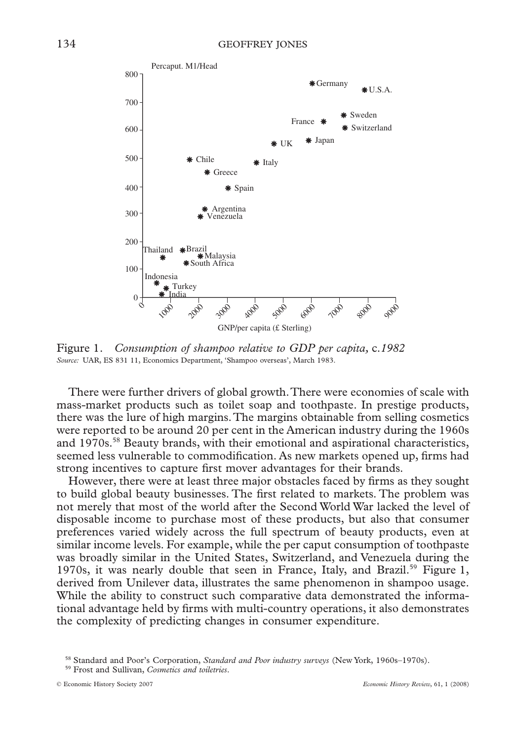

Figure 1. *Consumption of shampoo relative to GDP per capita,* c.*1982 Source:* UAR, ES 831 11, Economics Department, 'Shampoo overseas', March 1983.

There were further drivers of global growth.There were economies of scale with mass-market products such as toilet soap and toothpaste. In prestige products, there was the lure of high margins.The margins obtainable from selling cosmetics were reported to be around 20 per cent in the American industry during the 1960s and 1970s.<sup>58</sup> Beauty brands, with their emotional and aspirational characteristics, seemed less vulnerable to commodification. As new markets opened up, firms had strong incentives to capture first mover advantages for their brands.

However, there were at least three major obstacles faced by firms as they sought to build global beauty businesses. The first related to markets. The problem was not merely that most of the world after the Second World War lacked the level of disposable income to purchase most of these products, but also that consumer preferences varied widely across the full spectrum of beauty products, even at similar income levels. For example, while the per caput consumption of toothpaste was broadly similar in the United States, Switzerland, and Venezuela during the 1970s, it was nearly double that seen in France, Italy, and Brazil.<sup>59</sup> Figure 1, derived from Unilever data, illustrates the same phenomenon in shampoo usage. While the ability to construct such comparative data demonstrated the informational advantage held by firms with multi-country operations, it also demonstrates the complexity of predicting changes in consumer expenditure.

<sup>58</sup> Standard and Poor's Corporation, *Standard and Poor industry surveys* (New York, 1960s–1970s).

<sup>59</sup> Frost and Sullivan, *Cosmetics and toiletries*.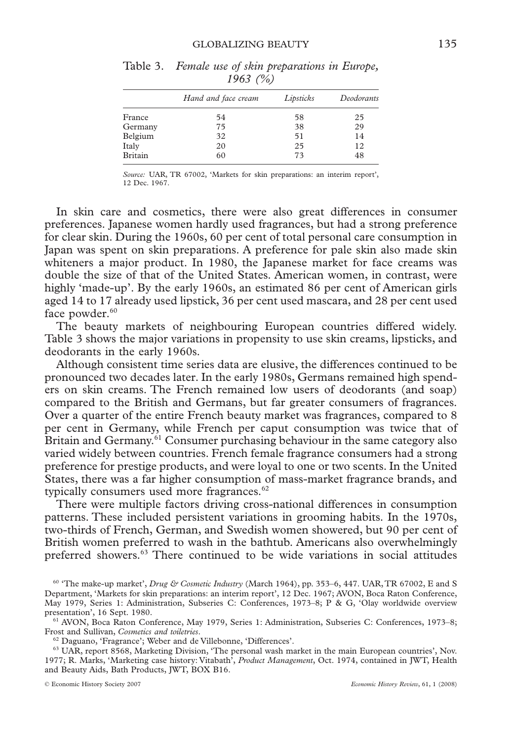|         | Hand and face cream | Lipsticks | Deodorants |  |
|---------|---------------------|-----------|------------|--|
| France  | 54                  | 58        | 25         |  |
| Germany | 75                  | 38        | 29         |  |
| Belgium | 32                  | 51        | 14         |  |
| Italy   | 20                  | 25        | 12         |  |
| Britain | 60                  | 73        | 48         |  |

Table 3. *Female use of skin preparations in Europe, 1963 (%)*

*Source:* UAR, TR 67002, 'Markets for skin preparations: an interim report', 12 Dec. 1967.

In skin care and cosmetics, there were also great differences in consumer preferences. Japanese women hardly used fragrances, but had a strong preference for clear skin. During the 1960s, 60 per cent of total personal care consumption in Japan was spent on skin preparations. A preference for pale skin also made skin whiteners a major product. In 1980, the Japanese market for face creams was double the size of that of the United States. American women, in contrast, were highly 'made-up'. By the early 1960s, an estimated 86 per cent of American girls aged 14 to 17 already used lipstick, 36 per cent used mascara, and 28 per cent used face powder. $60$ 

The beauty markets of neighbouring European countries differed widely. Table 3 shows the major variations in propensity to use skin creams, lipsticks, and deodorants in the early 1960s.

Although consistent time series data are elusive, the differences continued to be pronounced two decades later. In the early 1980s, Germans remained high spenders on skin creams. The French remained low users of deodorants (and soap) compared to the British and Germans, but far greater consumers of fragrances. Over a quarter of the entire French beauty market was fragrances, compared to 8 per cent in Germany, while French per caput consumption was twice that of Britain and Germany.<sup>61</sup> Consumer purchasing behaviour in the same category also varied widely between countries. French female fragrance consumers had a strong preference for prestige products, and were loyal to one or two scents. In the United States, there was a far higher consumption of mass-market fragrance brands, and typically consumers used more fragrances.<sup>62</sup>

There were multiple factors driving cross-national differences in consumption patterns. These included persistent variations in grooming habits. In the 1970s, two-thirds of French, German, and Swedish women showered, but 90 per cent of British women preferred to wash in the bathtub. Americans also overwhelmingly preferred showers.63 There continued to be wide variations in social attitudes

<sup>60</sup> 'The make-up market', *Drug & Cosmetic Industry* (March 1964), pp. 353–6, 447. UAR, TR 67002, E and S Department, 'Markets for skin preparations: an interim report', 12 Dec. 1967; AVON, Boca Raton Conference, May 1979, Series 1: Administration, Subseries C: Conferences, 1973–8; P & G, 'Olay worldwide overview presentation', 16 Sept. 1980.

<sup>61</sup> AVON, Boca Raton Conference, May 1979, Series 1: Administration, Subseries C: Conferences, 1973–8; Frost and Sullivan, *Cosmetics and toiletries*.

<sup>62</sup> Daguano, 'Fragrance'; Weber and de Villebonne, 'Differences'.

<sup>&</sup>lt;sup>63</sup> UAR, report 8568, Marketing Division, 'The personal wash market in the main European countries', Nov. 1977; R. Marks, 'Marketing case history: Vitabath', *Product Management*, Oct. 1974, contained in JWT, Health and Beauty Aids, Bath Products, JWT, BOX B16.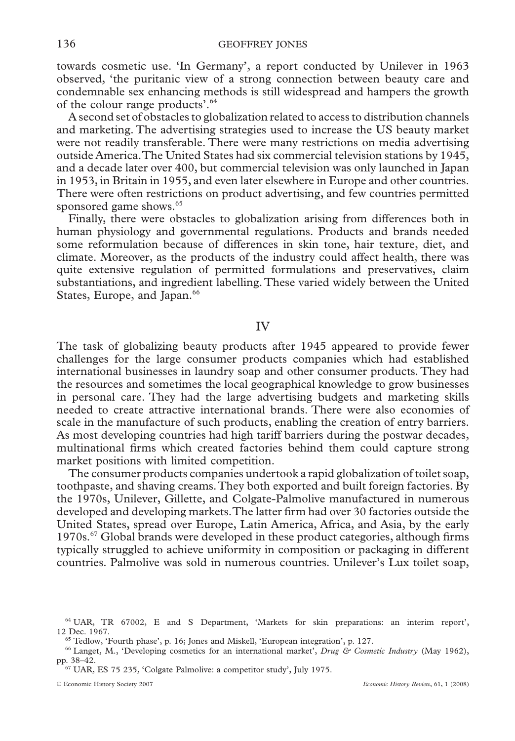towards cosmetic use. 'In Germany', a report conducted by Unilever in 1963 observed, 'the puritanic view of a strong connection between beauty care and condemnable sex enhancing methods is still widespread and hampers the growth of the colour range products'.<sup>64</sup>

A second set of obstacles to globalization related to access to distribution channels and marketing. The advertising strategies used to increase the US beauty market were not readily transferable. There were many restrictions on media advertising outside America.The United States had six commercial television stations by 1945, and a decade later over 400, but commercial television was only launched in Japan in 1953, in Britain in 1955, and even later elsewhere in Europe and other countries. There were often restrictions on product advertising, and few countries permitted sponsored game shows.<sup>65</sup>

Finally, there were obstacles to globalization arising from differences both in human physiology and governmental regulations. Products and brands needed some reformulation because of differences in skin tone, hair texture, diet, and climate. Moreover, as the products of the industry could affect health, there was quite extensive regulation of permitted formulations and preservatives, claim substantiations, and ingredient labelling. These varied widely between the United States, Europe, and Japan.<sup>66</sup>

## IV

The task of globalizing beauty products after 1945 appeared to provide fewer challenges for the large consumer products companies which had established international businesses in laundry soap and other consumer products. They had the resources and sometimes the local geographical knowledge to grow businesses in personal care. They had the large advertising budgets and marketing skills needed to create attractive international brands. There were also economies of scale in the manufacture of such products, enabling the creation of entry barriers. As most developing countries had high tariff barriers during the postwar decades, multinational firms which created factories behind them could capture strong market positions with limited competition.

The consumer products companies undertook a rapid globalization of toilet soap, toothpaste, and shaving creams.They both exported and built foreign factories. By the 1970s, Unilever, Gillette, and Colgate-Palmolive manufactured in numerous developed and developing markets.The latter firm had over 30 factories outside the United States, spread over Europe, Latin America, Africa, and Asia, by the early 1970s.67 Global brands were developed in these product categories, although firms typically struggled to achieve uniformity in composition or packaging in different countries. Palmolive was sold in numerous countries. Unilever's Lux toilet soap,

<sup>&</sup>lt;sup>64</sup> UAR, TR 67002, E and S Department, 'Markets for skin preparations: an interim report', 12 Dec. 1967.

<sup>&</sup>lt;sup>65</sup> Tedlow, 'Fourth phase', p. 16; Jones and Miskell, 'European integration', p. 127.

<sup>66</sup> Langet, M., 'Developing cosmetics for an international market', *Drug & Cosmetic Industry* (May 1962), pp. 38–42.

<sup>67</sup> UAR, ES 75 235, 'Colgate Palmolive: a competitor study', July 1975.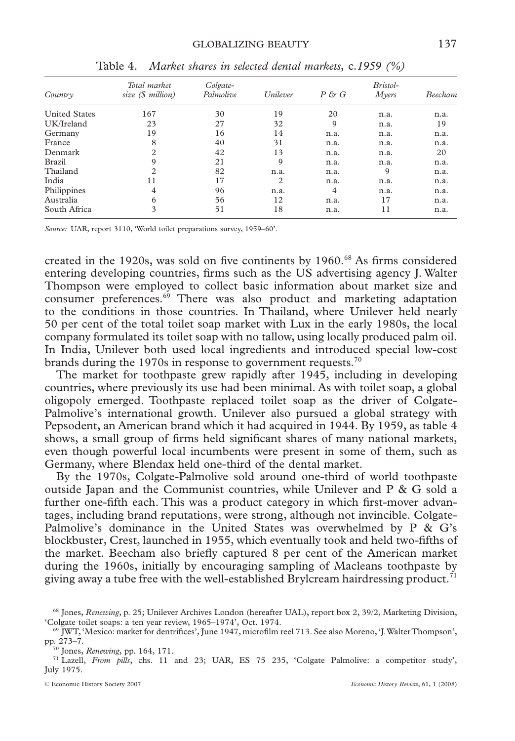|                      | Total market           | Colgate-  |          | Bristol- |       |         |
|----------------------|------------------------|-----------|----------|----------|-------|---------|
| Country              | size $($ § million $)$ | Palmolive | Unilever | $P \& G$ | Mvers | Beecham |
| <b>United States</b> | 167                    | 30        | 19       | 20       | n.a.  | n.a.    |
| UK/Ireland           | 23                     | 27        | 32       | 9        | n.a.  | 19      |
| Germany              | 19                     | 16        | 14       | n.a.     | n.a.  | n.a.    |
| France               | 8                      | 40        | 31       | n.a.     | n.a.  | n.a.    |
| Denmark              | 2                      | 42        | 13       | n.a.     | n.a.  | 20      |
| <b>Brazil</b>        | 9                      | 21        | 9        | n.a.     | n.a.  | n.a.    |
| Thailand             | 2                      | 82        | n.a.     | n.a.     | 9     | n.a.    |
| India                | 11                     | 17        | 2        | n.a.     | n.a.  | n.a.    |
| Philippines          | 4                      | 96        | n.a.     | 4        | n.a.  | n.a.    |
| Australia            | 6                      | 56        | 12       | n.a.     | 17    | n.a.    |
| South Africa         | 3                      | 51        | 18       | n.a.     | 11    | n.a.    |

Table 4. *Market shares in selected dental markets,* c.*1959 (%)*

*Source:* UAR, report 3110, 'World toilet preparations survey, 1959–60'.

created in the 1920s, was sold on five continents by 1960.<sup>68</sup> As firms considered entering developing countries, firms such as the US advertising agency J. Walter Thompson were employed to collect basic information about market size and consumer preferences.69 There was also product and marketing adaptation to the conditions in those countries. In Thailand, where Unilever held nearly 50 per cent of the total toilet soap market with Lux in the early 1980s, the local company formulated its toilet soap with no tallow, using locally produced palm oil. In India, Unilever both used local ingredients and introduced special low-cost brands during the 1970s in response to government requests.<sup>70</sup>

The market for toothpaste grew rapidly after 1945, including in developing countries, where previously its use had been minimal. As with toilet soap, a global oligopoly emerged. Toothpaste replaced toilet soap as the driver of Colgate-Palmolive's international growth. Unilever also pursued a global strategy with Pepsodent, an American brand which it had acquired in 1944. By 1959, as table 4 shows, a small group of firms held significant shares of many national markets, even though powerful local incumbents were present in some of them, such as Germany, where Blendax held one-third of the dental market.

By the 1970s, Colgate-Palmolive sold around one-third of world toothpaste outside Japan and the Communist countries, while Unilever and  $P \& G$  sold a further one-fifth each. This was a product category in which first-mover advantages, including brand reputations, were strong, although not invincible. Colgate-Palmolive's dominance in the United States was overwhelmed by P & G's blockbuster, Crest, launched in 1955, which eventually took and held two-fifths of the market. Beecham also briefly captured 8 per cent of the American market during the 1960s, initially by encouraging sampling of Macleans toothpaste by giving away a tube free with the well-established Brylcream hairdressing product.<sup>71</sup>

<sup>68</sup> Jones, *Renewing*, p. 25; Unilever Archives London (hereafter UAL), report box 2, 39/2, Marketing Division, 'Colgate toilet soaps: a ten year review, 1965–1974', Oct. 1974.

<sup>69</sup> JWT, 'Mexico: market for dentrifices', June 1947, microfilm reel 713. See also Moreno, 'J.WalterThompson', pp. 273–7.

<sup>70</sup> Jones, *Renewing*, pp. 164, 171.

<sup>71</sup> Lazell, *From pills*, chs. 11 and 23; UAR, ES 75 235, 'Colgate Palmolive: a competitor study', July 1975.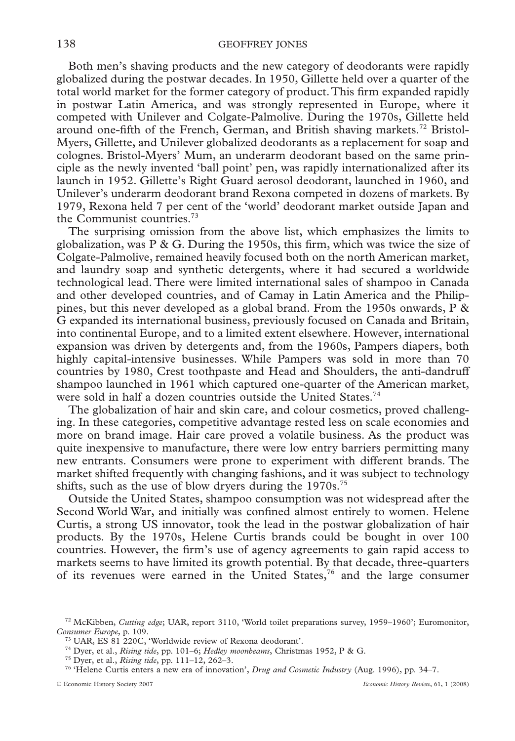Both men's shaving products and the new category of deodorants were rapidly globalized during the postwar decades. In 1950, Gillette held over a quarter of the total world market for the former category of product.This firm expanded rapidly in postwar Latin America, and was strongly represented in Europe, where it competed with Unilever and Colgate-Palmolive. During the 1970s, Gillette held around one-fifth of the French, German, and British shaving markets.<sup>72</sup> Bristol-Myers, Gillette, and Unilever globalized deodorants as a replacement for soap and colognes. Bristol-Myers' Mum, an underarm deodorant based on the same principle as the newly invented 'ball point' pen, was rapidly internationalized after its launch in 1952. Gillette's Right Guard aerosol deodorant, launched in 1960, and Unilever's underarm deodorant brand Rexona competed in dozens of markets. By 1979, Rexona held 7 per cent of the 'world' deodorant market outside Japan and the Communist countries.<sup>73</sup>

The surprising omission from the above list, which emphasizes the limits to globalization, was P  $\&$  G. During the 1950s, this firm, which was twice the size of Colgate-Palmolive, remained heavily focused both on the north American market, and laundry soap and synthetic detergents, where it had secured a worldwide technological lead. There were limited international sales of shampoo in Canada and other developed countries, and of Camay in Latin America and the Philippines, but this never developed as a global brand. From the 1950s onwards, P & G expanded its international business, previously focused on Canada and Britain, into continental Europe, and to a limited extent elsewhere. However, international expansion was driven by detergents and, from the 1960s, Pampers diapers, both highly capital-intensive businesses. While Pampers was sold in more than 70 countries by 1980, Crest toothpaste and Head and Shoulders, the anti-dandruff shampoo launched in 1961 which captured one-quarter of the American market, were sold in half a dozen countries outside the United States.<sup>74</sup>

The globalization of hair and skin care, and colour cosmetics, proved challenging. In these categories, competitive advantage rested less on scale economies and more on brand image. Hair care proved a volatile business. As the product was quite inexpensive to manufacture, there were low entry barriers permitting many new entrants. Consumers were prone to experiment with different brands. The market shifted frequently with changing fashions, and it was subject to technology shifts, such as the use of blow dryers during the 1970s.<sup>75</sup>

Outside the United States, shampoo consumption was not widespread after the Second World War, and initially was confined almost entirely to women. Helene Curtis, a strong US innovator, took the lead in the postwar globalization of hair products. By the 1970s, Helene Curtis brands could be bought in over 100 countries. However, the firm's use of agency agreements to gain rapid access to markets seems to have limited its growth potential. By that decade, three-quarters of its revenues were earned in the United States,76 and the large consumer

<sup>72</sup> McKibben, *Cutting edge*; UAR, report 3110, 'World toilet preparations survey, 1959–1960'; Euromonitor, *Consumer Europe*, p. 109.

<sup>73</sup> UAR, ES 81 220C, 'Worldwide review of Rexona deodorant'.

<sup>74</sup> Dyer, et al., *Rising tide*, pp. 101–6; *Hedley moonbeams*, Christmas 1952, P & G.

<sup>75</sup> Dyer, et al., *Rising tide*, pp. 111–12, 262–3.

<sup>76</sup> 'Helene Curtis enters a new era of innovation', *Drug and Cosmetic Industry* (Aug. 1996), pp. 34–7.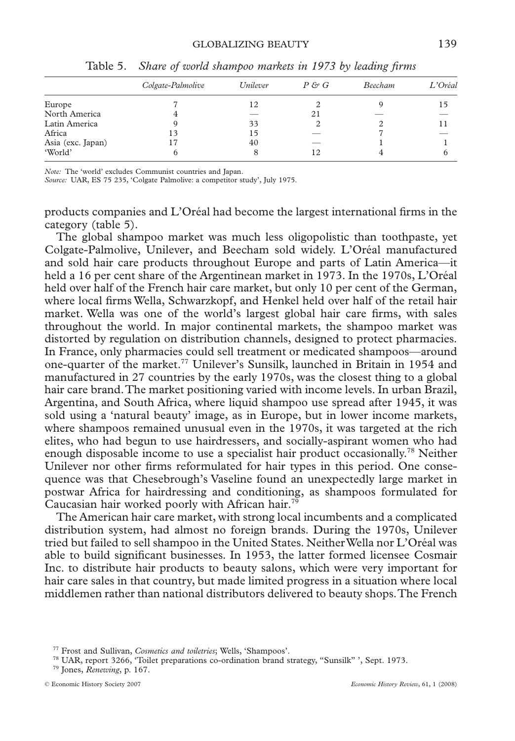|                   | Colgate-Palmolive | Unilever | $P \& G$ | <b>Beecham</b> | $L$ 'Oréal |
|-------------------|-------------------|----------|----------|----------------|------------|
| Europe            |                   | 12       |          |                | 15         |
| North America     |                   |          | 21       |                |            |
| Latin America     |                   | 33       |          |                |            |
| Africa            | 13                | 15       |          |                |            |
| Asia (exc. Japan) |                   | 40       |          |                |            |
| 'World'           |                   | 8        | 12       |                |            |

Table 5. *Share of world shampoo markets in 1973 by leading firms*

*Note:* The 'world' excludes Communist countries and Japan.

*Source:* UAR, ES 75 235, 'Colgate Palmolive: a competitor study', July 1975.

products companies and L'Oréal had become the largest international firms in the category (table 5).

The global shampoo market was much less oligopolistic than toothpaste, yet Colgate-Palmolive, Unilever, and Beecham sold widely. L'Oréal manufactured and sold hair care products throughout Europe and parts of Latin America—it held a 16 per cent share of the Argentinean market in 1973. In the 1970s, L'Oréal held over half of the French hair care market, but only 10 per cent of the German, where local firms Wella, Schwarzkopf, and Henkel held over half of the retail hair market. Wella was one of the world's largest global hair care firms, with sales throughout the world. In major continental markets, the shampoo market was distorted by regulation on distribution channels, designed to protect pharmacies. In France, only pharmacies could sell treatment or medicated shampoos—around one-quarter of the market.<sup>77</sup> Unilever's Sunsilk, launched in Britain in 1954 and manufactured in 27 countries by the early 1970s, was the closest thing to a global hair care brand.The market positioning varied with income levels. In urban Brazil, Argentina, and South Africa, where liquid shampoo use spread after 1945, it was sold using a 'natural beauty' image, as in Europe, but in lower income markets, where shampoos remained unusual even in the 1970s, it was targeted at the rich elites, who had begun to use hairdressers, and socially-aspirant women who had enough disposable income to use a specialist hair product occasionally.<sup>78</sup> Neither Unilever nor other firms reformulated for hair types in this period. One consequence was that Chesebrough's Vaseline found an unexpectedly large market in postwar Africa for hairdressing and conditioning, as shampoos formulated for Caucasian hair worked poorly with African hair.79

The American hair care market, with strong local incumbents and a complicated distribution system, had almost no foreign brands. During the 1970s, Unilever tried but failed to sell shampoo in the United States. NeitherWella nor L'Oréal was able to build significant businesses. In 1953, the latter formed licensee Cosmair Inc. to distribute hair products to beauty salons, which were very important for hair care sales in that country, but made limited progress in a situation where local middlemen rather than national distributors delivered to beauty shops.The French

<sup>77</sup> Frost and Sullivan, *Cosmetics and toiletries*; Wells, 'Shampoos'.

<sup>78</sup> UAR, report 3266, 'Toilet preparations co-ordination brand strategy, "Sunsilk" ', Sept. 1973.

<sup>79</sup> Jones, *Renewing*, p. 167.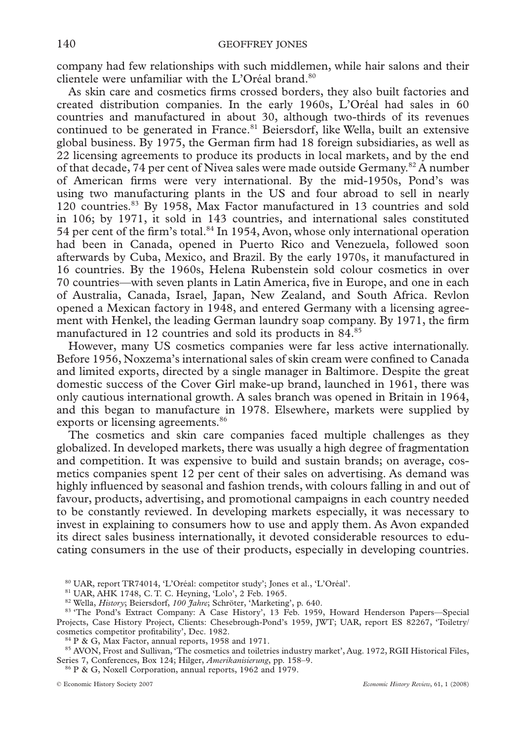company had few relationships with such middlemen, while hair salons and their clientele were unfamiliar with the L'Oréal brand.<sup>80</sup>

As skin care and cosmetics firms crossed borders, they also built factories and created distribution companies. In the early 1960s, L'Oréal had sales in 60 countries and manufactured in about 30, although two-thirds of its revenues continued to be generated in France. $81$  Beiersdorf, like Wella, built an extensive global business. By 1975, the German firm had 18 foreign subsidiaries, as well as 22 licensing agreements to produce its products in local markets, and by the end of that decade, 74 per cent of Nivea sales were made outside Germany.<sup>82</sup> A number of American firms were very international. By the mid-1950s, Pond's was using two manufacturing plants in the US and four abroad to sell in nearly 120 countries.83 By 1958, Max Factor manufactured in 13 countries and sold in 106; by 1971, it sold in 143 countries, and international sales constituted 54 per cent of the firm's total.<sup>84</sup> In 1954, Avon, whose only international operation had been in Canada, opened in Puerto Rico and Venezuela, followed soon afterwards by Cuba, Mexico, and Brazil. By the early 1970s, it manufactured in 16 countries. By the 1960s, Helena Rubenstein sold colour cosmetics in over 70 countries—with seven plants in Latin America, five in Europe, and one in each of Australia, Canada, Israel, Japan, New Zealand, and South Africa. Revlon opened a Mexican factory in 1948, and entered Germany with a licensing agreement with Henkel, the leading German laundry soap company. By 1971, the firm manufactured in 12 countries and sold its products in 84.<sup>85</sup>

However, many US cosmetics companies were far less active internationally. Before 1956, Noxzema's international sales of skin cream were confined to Canada and limited exports, directed by a single manager in Baltimore. Despite the great domestic success of the Cover Girl make-up brand, launched in 1961, there was only cautious international growth. A sales branch was opened in Britain in 1964, and this began to manufacture in 1978. Elsewhere, markets were supplied by exports or licensing agreements.<sup>86</sup>

The cosmetics and skin care companies faced multiple challenges as they globalized. In developed markets, there was usually a high degree of fragmentation and competition. It was expensive to build and sustain brands; on average, cosmetics companies spent 12 per cent of their sales on advertising. As demand was highly influenced by seasonal and fashion trends, with colours falling in and out of favour, products, advertising, and promotional campaigns in each country needed to be constantly reviewed. In developing markets especially, it was necessary to invest in explaining to consumers how to use and apply them. As Avon expanded its direct sales business internationally, it devoted considerable resources to educating consumers in the use of their products, especially in developing countries.

<sup>80</sup> UAR, report TR74014, 'L'Oréal: competitor study'; Jones et al., 'L'Oréal'.

<sup>81</sup> UAR, AHK 1748, C. T. C. Heyning, 'Lolo', 2 Feb. 1965.

<sup>82</sup> Wella, *History*; Beiersdorf, *100 Jahre*; Schröter, 'Marketing', p. 640.

<sup>83</sup> 'The Pond's Extract Company: A Case History', 13 Feb. 1959, Howard Henderson Papers—Special Projects, Case History Project, Clients: Chesebrough-Pond's 1959, JWT; UAR, report ES 82267, 'Toiletry/ cosmetics competitor profitability', Dec. 1982.

<sup>84</sup> P & G, Max Factor, annual reports, 1958 and 1971.

<sup>85</sup> AVON, Frost and Sullivan, 'The cosmetics and toiletries industry market', Aug. 1972, RGII Historical Files, Series 7, Conferences, Box 124; Hilger, *Amerikanisierung*, pp. 158–9.

<sup>86</sup> P & G, Noxell Corporation, annual reports, 1962 and 1979.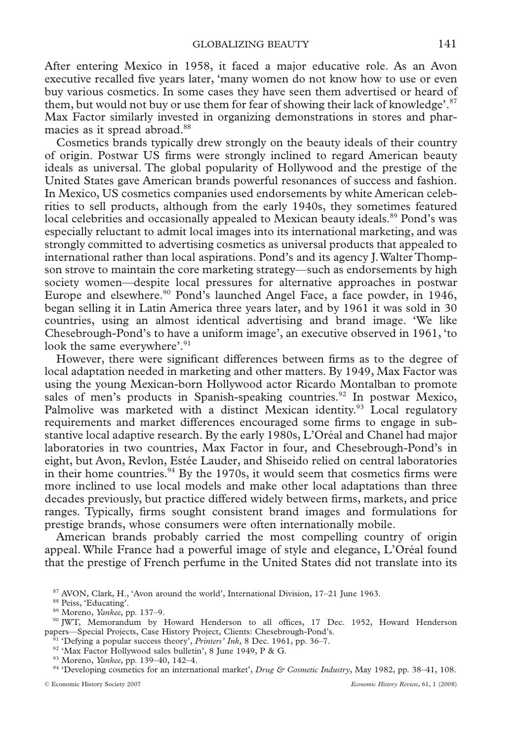After entering Mexico in 1958, it faced a major educative role. As an Avon executive recalled five years later, 'many women do not know how to use or even buy various cosmetics. In some cases they have seen them advertised or heard of them, but would not buy or use them for fear of showing their lack of knowledge'.<sup>87</sup> Max Factor similarly invested in organizing demonstrations in stores and pharmacies as it spread abroad.<sup>88</sup>

Cosmetics brands typically drew strongly on the beauty ideals of their country of origin. Postwar US firms were strongly inclined to regard American beauty ideals as universal. The global popularity of Hollywood and the prestige of the United States gave American brands powerful resonances of success and fashion. In Mexico, US cosmetics companies used endorsements by white American celebrities to sell products, although from the early 1940s, they sometimes featured local celebrities and occasionally appealed to Mexican beauty ideals.<sup>89</sup> Pond's was especially reluctant to admit local images into its international marketing, and was strongly committed to advertising cosmetics as universal products that appealed to international rather than local aspirations. Pond's and its agency J.Walter Thompson strove to maintain the core marketing strategy—such as endorsements by high society women—despite local pressures for alternative approaches in postwar Europe and elsewhere.<sup>90</sup> Pond's launched Angel Face, a face powder, in 1946, began selling it in Latin America three years later, and by 1961 it was sold in 30 countries, using an almost identical advertising and brand image. 'We like Chesebrough-Pond's to have a uniform image', an executive observed in 1961, 'to look the same everywhere'.<sup>91</sup>

However, there were significant differences between firms as to the degree of local adaptation needed in marketing and other matters. By 1949, Max Factor was using the young Mexican-born Hollywood actor Ricardo Montalban to promote sales of men's products in Spanish-speaking countries.<sup>92</sup> In postwar Mexico, Palmolive was marketed with a distinct Mexican identity.<sup>93</sup> Local regulatory requirements and market differences encouraged some firms to engage in substantive local adaptive research. By the early 1980s, L'Oréal and Chanel had major laboratories in two countries, Max Factor in four, and Chesebrough-Pond's in eight, but Avon, Revlon, Estée Lauder, and Shiseido relied on central laboratories in their home countries.<sup>94</sup> By the 1970s, it would seem that cosmetics firms were more inclined to use local models and make other local adaptations than three decades previously, but practice differed widely between firms, markets, and price ranges. Typically, firms sought consistent brand images and formulations for prestige brands, whose consumers were often internationally mobile.

American brands probably carried the most compelling country of origin appeal. While France had a powerful image of style and elegance, L'Oréal found that the prestige of French perfume in the United States did not translate into its

92 'Max Factor Hollywood sales bulletin', 8 June 1949, P & G.

<sup>94</sup> 'Developing cosmetics for an international market', *Drug & Cosmetic Industry*, May 1982, pp. 38–41, 108.

<sup>87</sup> AVON, Clark, H., 'Avon around the world', International Division, 17–21 June 1963.

<sup>88</sup> Peiss, 'Educating'.

<sup>89</sup> Moreno, *Yankee*, pp. 137–9.

<sup>90</sup> JWT, Memorandum by Howard Henderson to all offices, 17 Dec. 1952, Howard Henderson papers—Special Projects, Case History Project, Clients: Chesebrough-Pond's.

<sup>&</sup>lt;sup>91</sup> 'Defying a popular success theory', *Printers' Ink*, 8 Dec. 1961, pp. 36–7.

<sup>93</sup> Moreno, *Yankee*, pp. 139–40, 142–4.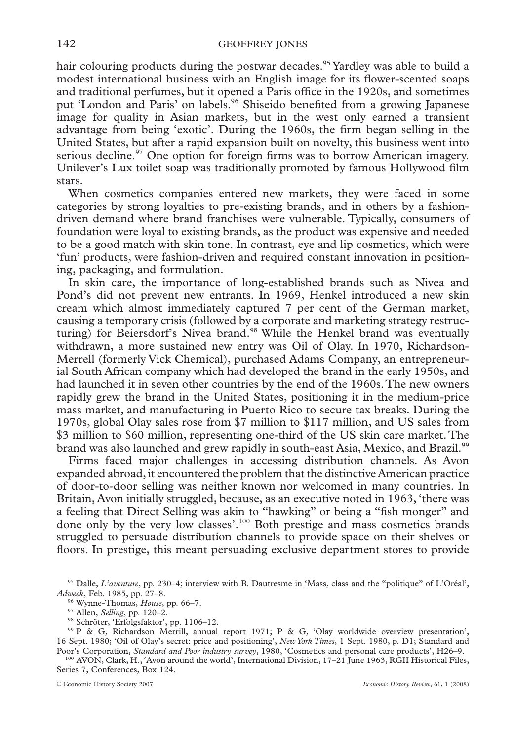hair colouring products during the postwar decades.<sup>95</sup> Yardley was able to build a modest international business with an English image for its flower-scented soaps and traditional perfumes, but it opened a Paris office in the 1920s, and sometimes put 'London and Paris' on labels.<sup>96</sup> Shiseido benefited from a growing Japanese image for quality in Asian markets, but in the west only earned a transient advantage from being 'exotic'. During the 1960s, the firm began selling in the United States, but after a rapid expansion built on novelty, this business went into serious decline.<sup>97</sup> One option for foreign firms was to borrow American imagery. Unilever's Lux toilet soap was traditionally promoted by famous Hollywood film stars.

When cosmetics companies entered new markets, they were faced in some categories by strong loyalties to pre-existing brands, and in others by a fashiondriven demand where brand franchises were vulnerable. Typically, consumers of foundation were loyal to existing brands, as the product was expensive and needed to be a good match with skin tone. In contrast, eye and lip cosmetics, which were 'fun' products, were fashion-driven and required constant innovation in positioning, packaging, and formulation.

In skin care, the importance of long-established brands such as Nivea and Pond's did not prevent new entrants. In 1969, Henkel introduced a new skin cream which almost immediately captured 7 per cent of the German market, causing a temporary crisis (followed by a corporate and marketing strategy restructuring) for Beiersdorf's Nivea brand.<sup>98</sup> While the Henkel brand was eventually withdrawn, a more sustained new entry was Oil of Olay. In 1970, Richardson-Merrell (formerly Vick Chemical), purchased Adams Company, an entrepreneurial South African company which had developed the brand in the early 1950s, and had launched it in seven other countries by the end of the 1960s.The new owners rapidly grew the brand in the United States, positioning it in the medium-price mass market, and manufacturing in Puerto Rico to secure tax breaks. During the 1970s, global Olay sales rose from \$7 million to \$117 million, and US sales from \$3 million to \$60 million, representing one-third of the US skin care market. The brand was also launched and grew rapidly in south-east Asia, Mexico, and Brazil.<sup>99</sup>

Firms faced major challenges in accessing distribution channels. As Avon expanded abroad, it encountered the problem that the distinctive American practice of door-to-door selling was neither known nor welcomed in many countries. In Britain, Avon initially struggled, because, as an executive noted in 1963, 'there was a feeling that Direct Selling was akin to "hawking" or being a "fish monger" and done only by the very low classes'.<sup>100</sup> Both prestige and mass cosmetics brands struggled to persuade distribution channels to provide space on their shelves or floors. In prestige, this meant persuading exclusive department stores to provide

<sup>95</sup> Dalle, *L'aventure*, pp. 230–4; interview with B. Dautresme in 'Mass, class and the "politique" of L'Oréal', *Adweek*, Feb. 1985, pp. 27–8.

<sup>96</sup> Wynne-Thomas, *House*, pp. 66–7.

<sup>99</sup> P & G, Richardson Merrill, annual report 1971; P & G, 'Olay worldwide overview presentation', 16 Sept. 1980; 'Oil of Olay's secret: price and positioning', *NewYork Times*, 1 Sept. 1980, p. D1; Standard and Poor's Corporation, *Standard and Poor industry survey*, 1980, 'Cosmetics and personal care products', H26–9.

<sup>100</sup> AVON, Clark, H., 'Avon around the world', International Division, 17–21 June 1963, RGII Historical Files, Series 7, Conferences, Box 124.

<sup>97</sup> Allen, *Selling*, pp. 120–2.

<sup>98</sup> Schröter, 'Erfolgsfaktor', pp. 1106–12.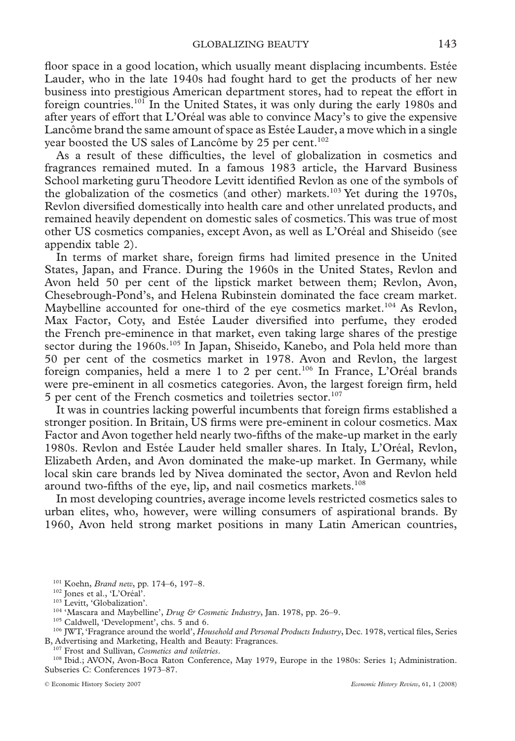floor space in a good location, which usually meant displacing incumbents. Estée Lauder, who in the late 1940s had fought hard to get the products of her new business into prestigious American department stores, had to repeat the effort in foreign countries.101 In the United States, it was only during the early 1980s and after years of effort that L'Oréal was able to convince Macy's to give the expensive Lancôme brand the same amount of space as Estée Lauder, a move which in a single year boosted the US sales of Lancôme by 25 per cent.<sup>102</sup>

As a result of these difficulties, the level of globalization in cosmetics and fragrances remained muted. In a famous 1983 article, the Harvard Business School marketing guru Theodore Levitt identified Revlon as one of the symbols of the globalization of the cosmetics (and other) markets.<sup>103</sup> Yet during the 1970s, Revlon diversified domestically into health care and other unrelated products, and remained heavily dependent on domestic sales of cosmetics.This was true of most other US cosmetics companies, except Avon, as well as L'Oréal and Shiseido (see appendix table 2).

In terms of market share, foreign firms had limited presence in the United States, Japan, and France. During the 1960s in the United States, Revlon and Avon held 50 per cent of the lipstick market between them; Revlon, Avon, Chesebrough-Pond's, and Helena Rubinstein dominated the face cream market. Maybelline accounted for one-third of the eye cosmetics market.<sup>104</sup> As Revlon, Max Factor, Coty, and Estée Lauder diversified into perfume, they eroded the French pre-eminence in that market, even taking large shares of the prestige sector during the 1960s.<sup>105</sup> In Japan, Shiseido, Kanebo, and Pola held more than 50 per cent of the cosmetics market in 1978. Avon and Revlon, the largest foreign companies, held a mere 1 to 2 per cent.<sup>106</sup> In France, L'Oréal brands were pre-eminent in all cosmetics categories. Avon, the largest foreign firm, held 5 per cent of the French cosmetics and toiletries sector.<sup>107</sup>

It was in countries lacking powerful incumbents that foreign firms established a stronger position. In Britain, US firms were pre-eminent in colour cosmetics. Max Factor and Avon together held nearly two-fifths of the make-up market in the early 1980s. Revlon and Estée Lauder held smaller shares. In Italy, L'Oréal, Revlon, Elizabeth Arden, and Avon dominated the make-up market. In Germany, while local skin care brands led by Nivea dominated the sector, Avon and Revlon held around two-fifths of the eye, lip, and nail cosmetics markets.<sup>108</sup>

In most developing countries, average income levels restricted cosmetics sales to urban elites, who, however, were willing consumers of aspirational brands. By 1960, Avon held strong market positions in many Latin American countries,

<sup>105</sup> Caldwell, 'Development', chs. 5 and 6.

<sup>108</sup> Ibid.; AVON, Avon-Boca Raton Conference, May 1979, Europe in the 1980s: Series 1; Administration. Subseries C: Conferences 1973–87.

<sup>101</sup> Koehn, *Brand new*, pp. 174–6, 197–8.

<sup>102</sup> Jones et al., 'L'Oréal'.

<sup>103</sup> Levitt, 'Globalization'.

<sup>104</sup> 'Mascara and Maybelline', *Drug & Cosmetic Industry*, Jan. 1978, pp. 26–9.

<sup>106</sup> JWT, 'Fragrance around the world', *Household and Personal Products Industry*, Dec. 1978, vertical files, Series B, Advertising and Marketing, Health and Beauty: Fragrances.

<sup>107</sup> Frost and Sullivan, *Cosmetics and toiletries*.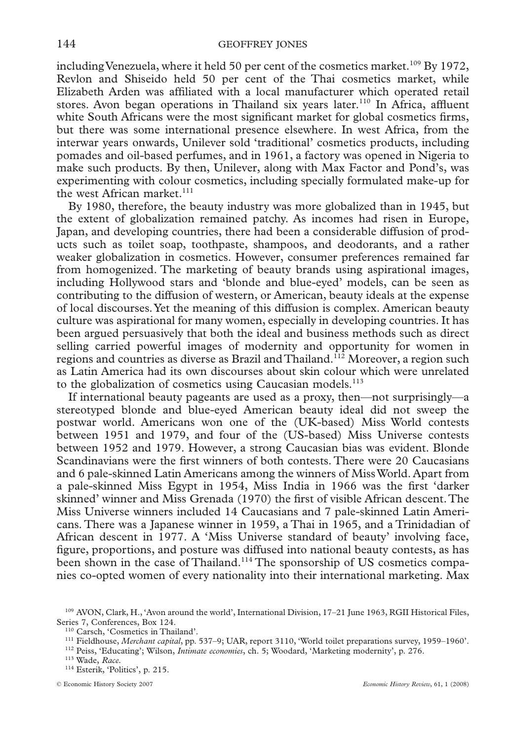including Venezuela, where it held 50 per cent of the cosmetics market.<sup>109</sup> By 1972, Revlon and Shiseido held 50 per cent of the Thai cosmetics market, while Elizabeth Arden was affiliated with a local manufacturer which operated retail stores. Avon began operations in Thailand six years later.<sup>110</sup> In Africa, affluent white South Africans were the most significant market for global cosmetics firms, but there was some international presence elsewhere. In west Africa, from the interwar years onwards, Unilever sold 'traditional' cosmetics products, including pomades and oil-based perfumes, and in 1961, a factory was opened in Nigeria to make such products. By then, Unilever, along with Max Factor and Pond's, was experimenting with colour cosmetics, including specially formulated make-up for the west African market.<sup>111</sup>

By 1980, therefore, the beauty industry was more globalized than in 1945, but the extent of globalization remained patchy. As incomes had risen in Europe, Japan, and developing countries, there had been a considerable diffusion of products such as toilet soap, toothpaste, shampoos, and deodorants, and a rather weaker globalization in cosmetics. However, consumer preferences remained far from homogenized. The marketing of beauty brands using aspirational images, including Hollywood stars and 'blonde and blue-eyed' models, can be seen as contributing to the diffusion of western, or American, beauty ideals at the expense of local discourses.Yet the meaning of this diffusion is complex. American beauty culture was aspirational for many women, especially in developing countries. It has been argued persuasively that both the ideal and business methods such as direct selling carried powerful images of modernity and opportunity for women in regions and countries as diverse as Brazil and Thailand.<sup>112</sup> Moreover, a region such as Latin America had its own discourses about skin colour which were unrelated to the globalization of cosmetics using Caucasian models.<sup>113</sup>

If international beauty pageants are used as a proxy, then—not surprisingly—a stereotyped blonde and blue-eyed American beauty ideal did not sweep the postwar world. Americans won one of the (UK-based) Miss World contests between 1951 and 1979, and four of the (US-based) Miss Universe contests between 1952 and 1979. However, a strong Caucasian bias was evident. Blonde Scandinavians were the first winners of both contests. There were 20 Caucasians and 6 pale-skinned Latin Americans among the winners of MissWorld. Apart from a pale-skinned Miss Egypt in 1954, Miss India in 1966 was the first 'darker skinned' winner and Miss Grenada (1970) the first of visible African descent.The Miss Universe winners included 14 Caucasians and 7 pale-skinned Latin Americans. There was a Japanese winner in 1959, a Thai in 1965, and a Trinidadian of African descent in 1977. A 'Miss Universe standard of beauty' involving face, figure, proportions, and posture was diffused into national beauty contests, as has been shown in the case of Thailand.<sup>114</sup> The sponsorship of US cosmetics companies co-opted women of every nationality into their international marketing. Max

<sup>112</sup> Peiss, 'Educating'; Wilson, *Intimate economies*, ch. 5; Woodard, 'Marketing modernity', p. 276.

<sup>113</sup> Wade, *Race.*

<sup>114</sup> Esterik, 'Politics', p. 215.

© Economic History Society 2007 *Economic History Review*, 61, 1 (2008)

<sup>109</sup> AVON, Clark, H., 'Avon around the world', International Division, 17–21 June 1963, RGII Historical Files, Series 7, Conferences, Box 124.

<sup>110</sup> Carsch, 'Cosmetics in Thailand'.

<sup>111</sup> Fieldhouse, *Merchant capital*, pp. 537–9; UAR, report 3110, 'World toilet preparations survey, 1959–1960'.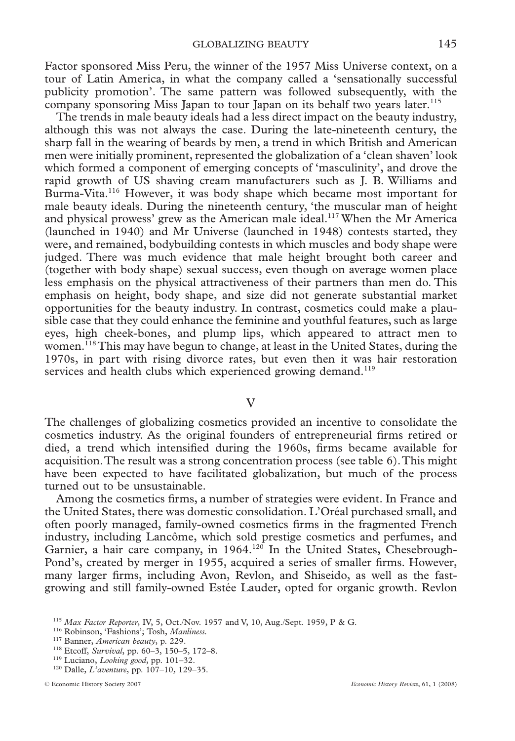Factor sponsored Miss Peru, the winner of the 1957 Miss Universe context, on a tour of Latin America, in what the company called a 'sensationally successful publicity promotion'. The same pattern was followed subsequently, with the company sponsoring Miss Japan to tour Japan on its behalf two years later.<sup>115</sup>

The trends in male beauty ideals had a less direct impact on the beauty industry, although this was not always the case. During the late-nineteenth century, the sharp fall in the wearing of beards by men, a trend in which British and American men were initially prominent, represented the globalization of a 'clean shaven' look which formed a component of emerging concepts of 'masculinity', and drove the rapid growth of US shaving cream manufacturers such as J. B. Williams and Burma-Vita.116 However, it was body shape which became most important for male beauty ideals. During the nineteenth century, 'the muscular man of height and physical prowess' grew as the American male ideal.<sup>117</sup> When the Mr America (launched in 1940) and Mr Universe (launched in 1948) contests started, they were, and remained, bodybuilding contests in which muscles and body shape were judged. There was much evidence that male height brought both career and (together with body shape) sexual success, even though on average women place less emphasis on the physical attractiveness of their partners than men do. This emphasis on height, body shape, and size did not generate substantial market opportunities for the beauty industry. In contrast, cosmetics could make a plausible case that they could enhance the feminine and youthful features, such as large eyes, high cheek-bones, and plump lips, which appeared to attract men to women.<sup>118</sup>This may have begun to change, at least in the United States, during the 1970s, in part with rising divorce rates, but even then it was hair restoration services and health clubs which experienced growing demand.<sup>119</sup>

V

The challenges of globalizing cosmetics provided an incentive to consolidate the cosmetics industry. As the original founders of entrepreneurial firms retired or died, a trend which intensified during the 1960s, firms became available for acquisition.The result was a strong concentration process (see table 6).This might have been expected to have facilitated globalization, but much of the process turned out to be unsustainable.

Among the cosmetics firms, a number of strategies were evident. In France and the United States, there was domestic consolidation. L'Oréal purchased small, and often poorly managed, family-owned cosmetics firms in the fragmented French industry, including Lancôme, which sold prestige cosmetics and perfumes, and Garnier, a hair care company, in 1964.<sup>120</sup> In the United States, Chesebrough-Pond's, created by merger in 1955, acquired a series of smaller firms. However, many larger firms, including Avon, Revlon, and Shiseido, as well as the fastgrowing and still family-owned Estée Lauder, opted for organic growth. Revlon

<sup>115</sup> *Max Factor Reporter*, IV, 5, Oct./Nov. 1957 and V, 10, Aug./Sept. 1959, P & G.

<sup>116</sup> Robinson, 'Fashions'; Tosh, *Manliness.*

<sup>117</sup> Banner, *American beauty*, p. 229.

<sup>118</sup> Etcoff, *Survival*, pp. 60–3, 150–5, 172–8.

<sup>119</sup> Luciano, *Looking good*, pp. 101–32.

<sup>120</sup> Dalle, *L'aventure*, pp. 107–10, 129–35.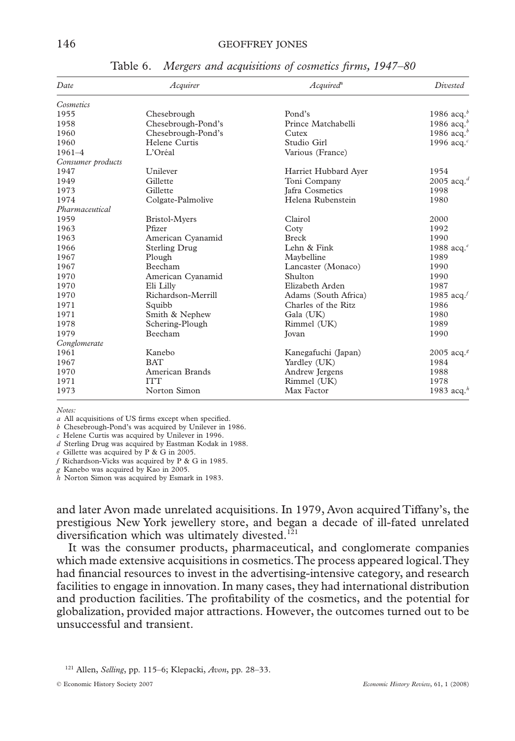#### 146 GEOFFREY JONES

| Date              | Acquirer             | $Acquired^a$         | Divested         |
|-------------------|----------------------|----------------------|------------------|
| Cosmetics         |                      |                      |                  |
| 1955              | Chesebrough          | Pond's               | 1986 $\arctan b$ |
| 1958              | Chesebrough-Pond's   | Prince Matchabelli   | 1986 $\arctan b$ |
| 1960              | Chesebrough-Pond's   | Cutex                | 1986 $\sec^{b}$  |
| 1960              | Helene Curtis        | Studio Girl          | 1996 $accq$ .    |
| $1961 - 4$        | L'Oréal              | Various (France)     |                  |
| Consumer products |                      |                      |                  |
| 1947              | Unilever             | Harriet Hubbard Ayer | 1954             |
| 1949              | Gillette             | Toni Company         | 2005 $acc^{d}$   |
| 1973              | Gillette             | Jafra Cosmetics      | 1998             |
| 1974              | Colgate-Palmolive    | Helena Rubenstein    | 1980             |
| Pharmaceutical    |                      |                      |                  |
| 1959              | Bristol-Myers        | Clairol              | 2000             |
| 1963              | Pfizer               | Coty                 | 1992             |
| 1963              | American Cyanamid    | <b>Breck</b>         | 1990             |
| 1966              | <b>Sterling Drug</b> | Lehn & Fink          | 1988 $acq$ .     |
| 1967              | Plough               | Maybelline           | 1989             |
| 1967              | <b>Beecham</b>       | Lancaster (Monaco)   | 1990             |
| 1970              | American Cyanamid    | Shulton              | 1990             |
| 1970              | Eli Lilly            | Elizabeth Arden      | 1987             |
| 1970              | Richardson-Merrill   | Adams (South Africa) | 1985 $accf$      |
| 1971              | Squibb               | Charles of the Ritz  | 1986             |
| 1971              | Smith & Nephew       | Gala (UK)            | 1980             |
| 1978              | Schering-Plough      | Rimmel (UK)          | 1989             |
| 1979              | Beecham              | Jovan                | 1990             |
| Conglomerate      |                      |                      |                  |
| 1961              | Kanebo               | Kanegafuchi (Japan)  | 2005 acq. $\ell$ |
| 1967              | <b>BAT</b>           | Yardley (UK)         | 1984             |
| 1970              | American Brands      | Andrew Jergens       | 1988             |
| 1971              | <b>ITT</b>           | Rimmel (UK)          | 1978             |
| 1973              | Norton Simon         | Max Factor           | 1983 $acc1h$     |

Table 6. *Mergers and acquisitions of cosmetics firms, 1947–80*

*Notes:*

*a* All acquisitions of US firms except when specified.

*b* Chesebrough-Pond's was acquired by Unilever in 1986.

*c* Helene Curtis was acquired by Unilever in 1996.

*d* Sterling Drug was acquired by Eastman Kodak in 1988.

*e* Gillette was acquired by P & G in 2005.

*f* Richardson-Vicks was acquired by P & G in 1985.

*g* Kanebo was acquired by Kao in 2005.

*h* Norton Simon was acquired by Esmark in 1983.

and later Avon made unrelated acquisitions. In 1979, Avon acquired Tiffany's, the prestigious New York jewellery store, and began a decade of ill-fated unrelated diversification which was ultimately divested.<sup>121</sup>

It was the consumer products, pharmaceutical, and conglomerate companies which made extensive acquisitions in cosmetics.The process appeared logical.They had financial resources to invest in the advertising-intensive category, and research facilities to engage in innovation. In many cases, they had international distribution and production facilities. The profitability of the cosmetics, and the potential for globalization, provided major attractions. However, the outcomes turned out to be unsuccessful and transient.

<sup>121</sup> Allen, *Selling*, pp. 115–6; Klepacki, *Avon*, pp. 28–33.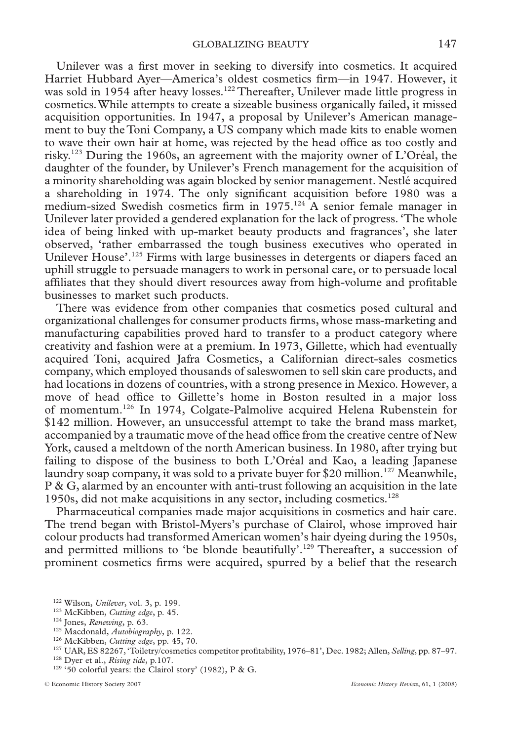Unilever was a first mover in seeking to diversify into cosmetics. It acquired Harriet Hubbard Ayer—America's oldest cosmetics firm—in 1947. However, it was sold in 1954 after heavy losses.<sup>122</sup> Thereafter, Unilever made little progress in cosmetics.While attempts to create a sizeable business organically failed, it missed acquisition opportunities. In 1947, a proposal by Unilever's American management to buy the Toni Company, a US company which made kits to enable women to wave their own hair at home, was rejected by the head office as too costly and risky.<sup>123</sup> During the 1960s, an agreement with the majority owner of L'Oréal, the daughter of the founder, by Unilever's French management for the acquisition of a minority shareholding was again blocked by senior management. Nestlé acquired a shareholding in 1974. The only significant acquisition before 1980 was a medium-sized Swedish cosmetics firm in 1975.124 A senior female manager in Unilever later provided a gendered explanation for the lack of progress. 'The whole idea of being linked with up-market beauty products and fragrances', she later observed, 'rather embarrassed the tough business executives who operated in Unilever House'.<sup>125</sup> Firms with large businesses in detergents or diapers faced an uphill struggle to persuade managers to work in personal care, or to persuade local affiliates that they should divert resources away from high-volume and profitable businesses to market such products.

There was evidence from other companies that cosmetics posed cultural and organizational challenges for consumer products firms, whose mass-marketing and manufacturing capabilities proved hard to transfer to a product category where creativity and fashion were at a premium. In 1973, Gillette, which had eventually acquired Toni, acquired Jafra Cosmetics, a Californian direct-sales cosmetics company, which employed thousands of saleswomen to sell skin care products, and had locations in dozens of countries, with a strong presence in Mexico. However, a move of head office to Gillette's home in Boston resulted in a major loss of momentum.126 In 1974, Colgate-Palmolive acquired Helena Rubenstein for \$142 million. However, an unsuccessful attempt to take the brand mass market, accompanied by a traumatic move of the head office from the creative centre of New York, caused a meltdown of the north American business. In 1980, after trying but failing to dispose of the business to both L'Oréal and Kao, a leading Japanese laundry soap company, it was sold to a private buyer for \$20 million.<sup>127</sup> Meanwhile, P & G, alarmed by an encounter with anti-trust following an acquisition in the late 1950s, did not make acquisitions in any sector, including cosmetics.<sup>128</sup>

Pharmaceutical companies made major acquisitions in cosmetics and hair care. The trend began with Bristol-Myers's purchase of Clairol, whose improved hair colour products had transformed American women's hair dyeing during the 1950s, and permitted millions to 'be blonde beautifully'.<sup>129</sup> Thereafter, a succession of prominent cosmetics firms were acquired, spurred by a belief that the research

- <sup>125</sup> Macdonald, *Autobiography*, p. 122.
- <sup>126</sup> McKibben, *Cutting edge*, pp. 45, 70.

- <sup>128</sup> Dyer et al., *Rising tide*, p.107.
- <sup>129</sup> '50 colorful years: the Clairol story' (1982), P & G.

<sup>122</sup> Wilson, *Unilever*, vol. 3, p. 199.

<sup>123</sup> McKibben, *Cutting edge*, p. 45.

<sup>124</sup> Jones, *Renewing*, p. 63.

<sup>127</sup> UAR, ES 82267,'Toiletry/cosmetics competitor profitability, 1976–81', Dec. 1982; Allen, *Selling*, pp. 87–97.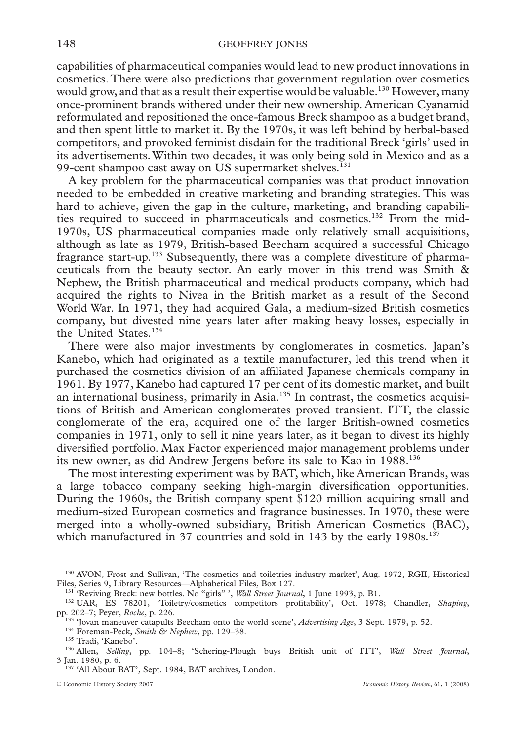capabilities of pharmaceutical companies would lead to new product innovations in cosmetics. There were also predictions that government regulation over cosmetics would grow, and that as a result their expertise would be valuable.<sup>130</sup> However, many once-prominent brands withered under their new ownership. American Cyanamid reformulated and repositioned the once-famous Breck shampoo as a budget brand, and then spent little to market it. By the 1970s, it was left behind by herbal-based competitors, and provoked feminist disdain for the traditional Breck 'girls' used in its advertisements.Within two decades, it was only being sold in Mexico and as a 99-cent shampoo cast away on US supermarket shelves.<sup>131</sup>

A key problem for the pharmaceutical companies was that product innovation needed to be embedded in creative marketing and branding strategies. This was hard to achieve, given the gap in the culture, marketing, and branding capabilities required to succeed in pharmaceuticals and cosmetics.132 From the mid-1970s, US pharmaceutical companies made only relatively small acquisitions, although as late as 1979, British-based Beecham acquired a successful Chicago fragrance start-up.133 Subsequently, there was a complete divestiture of pharmaceuticals from the beauty sector. An early mover in this trend was Smith & Nephew, the British pharmaceutical and medical products company, which had acquired the rights to Nivea in the British market as a result of the Second World War. In 1971, they had acquired Gala, a medium-sized British cosmetics company, but divested nine years later after making heavy losses, especially in the United States.<sup>134</sup>

There were also major investments by conglomerates in cosmetics. Japan's Kanebo, which had originated as a textile manufacturer, led this trend when it purchased the cosmetics division of an affiliated Japanese chemicals company in 1961. By 1977, Kanebo had captured 17 per cent of its domestic market, and built an international business, primarily in Asia.135 In contrast, the cosmetics acquisitions of British and American conglomerates proved transient. ITT, the classic conglomerate of the era, acquired one of the larger British-owned cosmetics companies in 1971, only to sell it nine years later, as it began to divest its highly diversified portfolio. Max Factor experienced major management problems under its new owner, as did Andrew Jergens before its sale to Kao in 1988.<sup>136</sup>

The most interesting experiment was by BAT, which, like American Brands, was a large tobacco company seeking high-margin diversification opportunities. During the 1960s, the British company spent \$120 million acquiring small and medium-sized European cosmetics and fragrance businesses. In 1970, these were merged into a wholly-owned subsidiary, British American Cosmetics (BAC), which manufactured in 37 countries and sold in 143 by the early  $1980s$ .<sup>137</sup>

<sup>&</sup>lt;sup>130</sup> AVON, Frost and Sullivan, 'The cosmetics and toiletries industry market', Aug. 1972, RGII, Historical Files, Series 9, Library Resources—Alphabetical Files, Box 127.

<sup>&</sup>lt;sup>131</sup> 'Reviving Breck: new bottles. No "girls" ', *Wall Street Journal*, 1 June 1993, p. B1.

<sup>132</sup> UAR, ES 78201, 'Toiletry/cosmetics competitors profitability', Oct. 1978; Chandler, *Shaping*, pp. 202–7; Peyer, *Roche*, p. 226.

<sup>&</sup>lt;sup>133</sup> 'Jovan maneuver catapults Beecham onto the world scene', *Advertising Age*, 3 Sept. 1979, p. 52.

<sup>134</sup> Foreman-Peck, *Smith & Nephew*, pp. 129–38.

<sup>&</sup>lt;sup>135</sup> Tradi, 'Kanebo'.

<sup>136</sup> Allen, *Selling*, pp. 104–8; 'Schering-Plough buys British unit of ITT', *Wall Street Journal*, 3 Jan. 1980, p. 6.

<sup>&</sup>lt;sup>137</sup> 'All About BAT', Sept. 1984, BAT archives, London.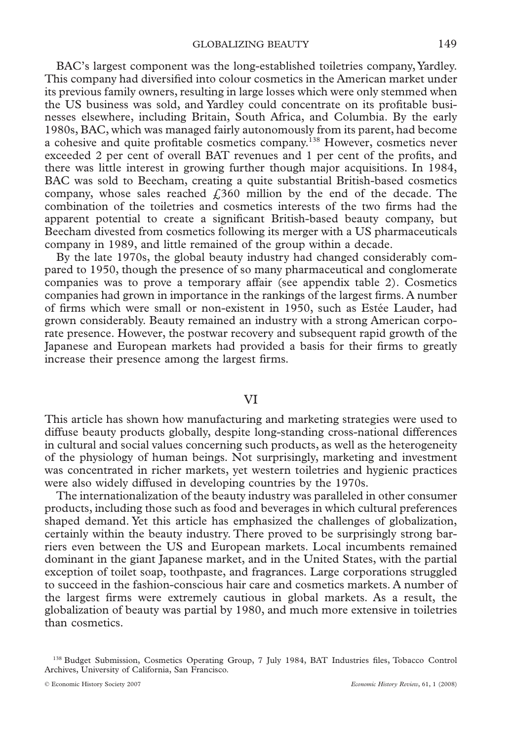BAC's largest component was the long-established toiletries company, Yardley. This company had diversified into colour cosmetics in the American market under its previous family owners, resulting in large losses which were only stemmed when the US business was sold, and Yardley could concentrate on its profitable businesses elsewhere, including Britain, South Africa, and Columbia. By the early 1980s, BAC, which was managed fairly autonomously from its parent, had become a cohesive and quite profitable cosmetics company.138 However, cosmetics never exceeded 2 per cent of overall BAT revenues and 1 per cent of the profits, and there was little interest in growing further though major acquisitions. In 1984, BAC was sold to Beecham, creating a quite substantial British-based cosmetics company, whose sales reached  $\angle$  560 million by the end of the decade. The combination of the toiletries and cosmetics interests of the two firms had the apparent potential to create a significant British-based beauty company, but Beecham divested from cosmetics following its merger with a US pharmaceuticals company in 1989, and little remained of the group within a decade.

By the late 1970s, the global beauty industry had changed considerably compared to 1950, though the presence of so many pharmaceutical and conglomerate companies was to prove a temporary affair (see appendix table 2). Cosmetics companies had grown in importance in the rankings of the largest firms. A number of firms which were small or non-existent in 1950, such as Estée Lauder, had grown considerably. Beauty remained an industry with a strong American corporate presence. However, the postwar recovery and subsequent rapid growth of the Japanese and European markets had provided a basis for their firms to greatly increase their presence among the largest firms.

### VI

This article has shown how manufacturing and marketing strategies were used to diffuse beauty products globally, despite long-standing cross-national differences in cultural and social values concerning such products, as well as the heterogeneity of the physiology of human beings. Not surprisingly, marketing and investment was concentrated in richer markets, yet western toiletries and hygienic practices were also widely diffused in developing countries by the 1970s.

The internationalization of the beauty industry was paralleled in other consumer products, including those such as food and beverages in which cultural preferences shaped demand. Yet this article has emphasized the challenges of globalization, certainly within the beauty industry. There proved to be surprisingly strong barriers even between the US and European markets. Local incumbents remained dominant in the giant Japanese market, and in the United States, with the partial exception of toilet soap, toothpaste, and fragrances. Large corporations struggled to succeed in the fashion-conscious hair care and cosmetics markets. A number of the largest firms were extremely cautious in global markets. As a result, the globalization of beauty was partial by 1980, and much more extensive in toiletries than cosmetics.

<sup>&</sup>lt;sup>138</sup> Budget Submission, Cosmetics Operating Group, 7 July 1984, BAT Industries files, Tobacco Control Archives, University of California, San Francisco.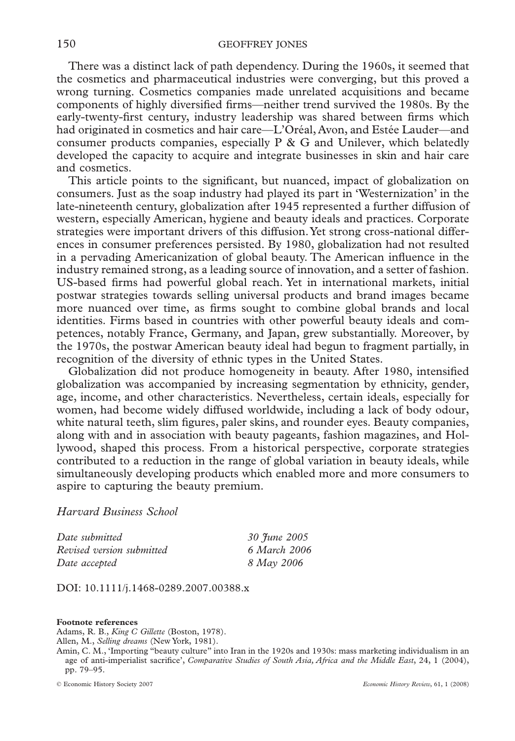There was a distinct lack of path dependency. During the 1960s, it seemed that the cosmetics and pharmaceutical industries were converging, but this proved a wrong turning. Cosmetics companies made unrelated acquisitions and became components of highly diversified firms—neither trend survived the 1980s. By the early-twenty-first century, industry leadership was shared between firms which had originated in cosmetics and hair care—L'Oréal, Avon, and Estée Lauder—and consumer products companies, especially P & G and Unilever, which belatedly developed the capacity to acquire and integrate businesses in skin and hair care and cosmetics.

This article points to the significant, but nuanced, impact of globalization on consumers. Just as the soap industry had played its part in 'Westernization' in the late-nineteenth century, globalization after 1945 represented a further diffusion of western, especially American, hygiene and beauty ideals and practices. Corporate strategies were important drivers of this diffusion.Yet strong cross-national differences in consumer preferences persisted. By 1980, globalization had not resulted in a pervading Americanization of global beauty. The American influence in the industry remained strong, as a leading source of innovation, and a setter of fashion. US-based firms had powerful global reach. Yet in international markets, initial postwar strategies towards selling universal products and brand images became more nuanced over time, as firms sought to combine global brands and local identities. Firms based in countries with other powerful beauty ideals and competences, notably France, Germany, and Japan, grew substantially. Moreover, by the 1970s, the postwar American beauty ideal had begun to fragment partially, in recognition of the diversity of ethnic types in the United States.

Globalization did not produce homogeneity in beauty. After 1980, intensified globalization was accompanied by increasing segmentation by ethnicity, gender, age, income, and other characteristics. Nevertheless, certain ideals, especially for women, had become widely diffused worldwide, including a lack of body odour, white natural teeth, slim figures, paler skins, and rounder eyes. Beauty companies, along with and in association with beauty pageants, fashion magazines, and Hollywood, shaped this process. From a historical perspective, corporate strategies contributed to a reduction in the range of global variation in beauty ideals, while simultaneously developing products which enabled more and more consumers to aspire to capturing the beauty premium.

#### *Harvard Business School*

| Date submitted            | 30 June 2005 |
|---------------------------|--------------|
| Revised version submitted | 6 March 2006 |
| Date accepted             | 8 May 2006   |

DOI: 10.1111/j.1468-0289.2007.00388.x

#### **Footnote references**

Adams, R. B., *King C Gillette* (Boston, 1978).

Allen, M., *Selling dreams* (New York, 1981).

Amin, C. M., 'Importing "beauty culture" into Iran in the 1920s and 1930s: mass marketing individualism in an age of anti-imperialist sacrifice', *Comparative Studies of South Asia, Africa and the Middle East*, 24, 1 (2004), pp. 79–95.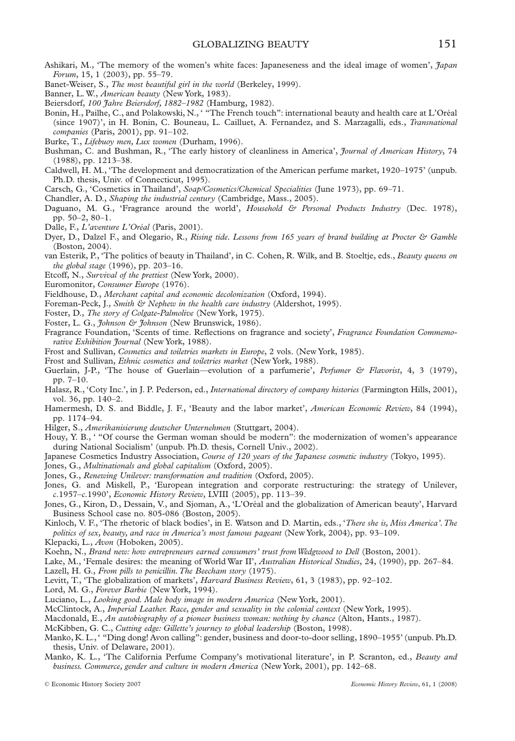- Ashikari, M., 'The memory of the women's white faces: Japaneseness and the ideal image of women', *Japan Forum*, 15, 1 (2003), pp. 55–79.
- Banet-Weiser, S., *The most beautiful girl in the world* (Berkeley, 1999).
- Banner, L. W., *American beauty* (New York, 1983).
- Beiersdorf, *100 Jahre Beiersdorf, 1882–1982* (Hamburg, 1982).
- Bonin, H., Pailhe, C., and Polakowski, N., ' "The French touch": international beauty and health care at L'Oréal (since 1907)', in H. Bonin, C. Bouneau, L. Cailluet, A. Fernandez, and S. Marzagalli, eds., *Transnational companies* (Paris, 2001), pp. 91–102.
- Burke, T., *Lifebuoy men, Lux women* (Durham, 1996).
- Bushman, C. and Bushman, R., 'The early history of cleanliness in America', *Journal of American History*, 74 (1988), pp. 1213–38.
- Caldwell, H. M., 'The development and democratization of the American perfume market, 1920–1975' (unpub. Ph.D. thesis, Univ. of Connecticut, 1995).
- Carsch, G., 'Cosmetics in Thailand', *Soap/Cosmetics/Chemical Specialities* (June 1973), pp. 69–71.
- Chandler, A. D., *Shaping the industrial century* (Cambridge, Mass., 2005).
- Daguano, M. G., 'Fragrance around the world', *Household & Personal Products Industry* (Dec. 1978), pp. 50–2, 80–1.
- Dalle, F., *L'aventure L'Oréal* (Paris, 2001).
- Dyer, D., Dalzel F., and Olegario, R., *Rising tide. Lessons from 165 years of brand building at Procter & Gamble* (Boston, 2004).
- van Esterik, P., 'The politics of beauty in Thailand', in C. Cohen, R. Wilk, and B. Stoeltje, eds., *Beauty queens on the global stage* (1996), pp. 203–16.
- Etcoff, N., *Survival of the prettiest* (New York, 2000).
- Euromonitor, *Consumer Europe* (1976).
- Fieldhouse, D., *Merchant capital and economic decolonization* (Oxford, 1994).
- Foreman-Peck, J., *Smith & Nephew in the health care industry* (Aldershot, 1995).
- Foster, D., *The story of Colgate-Palmolive* (New York, 1975).
- Foster, L. G., *Johnson & Johnson* (New Brunswick, 1986).
- Fragrance Foundation, 'Scents of time. Reflections on fragrance and society', *Fragrance Foundation Commemorative Exhibition Journal* (New York, 1988).
- Frost and Sullivan, *Cosmetics and toiletries markets in Europe*, 2 vols. (New York, 1985).
- Frost and Sullivan, *Ethnic cosmetics and toiletries market* (New York, 1988).
- Guerlain, J-P., 'The house of Guerlain—evolution of a parfumerie', *Perfumer & Flavorist*, 4, 3 (1979), pp. 7–10.
- Halasz, R., 'Coty Inc.', in J. P. Pederson, ed., *International directory of company histories* (Farmington Hills, 2001), vol. 36, pp. 140–2.
- Hamermesh, D. S. and Biddle, J. F., 'Beauty and the labor market', *American Economic Review*, 84 (1994), pp. 1174–94.
- Hilger, S., *Amerikanisierung deutscher Unternehmen* (Stuttgart, 2004).
- Houy, Y. B., ' "Of course the German woman should be modern": the modernization of women's appearance during National Socialism' (unpub. Ph.D. thesis, Cornell Univ., 2002).
- Japanese Cosmetics Industry Association, *Course of 120 years of the Japanese cosmetic industry* (Tokyo, 1995).
- Jones, G., *Multinationals and global capitalism* (Oxford, 2005).
- Jones, G., *Renewing Unilever: transformation and tradition* (Oxford, 2005).
- Jones, G. and Miskell, P., 'European integration and corporate restructuring: the strategy of Unilever, *c*.1957–*c*.1990', *Economic History Review*, LVIII (2005), pp. 113–39.
- Jones, G., Kiron, D., Dessain, V., and Sjoman, A., 'L'Oréal and the globalization of American beauty', Harvard Business School case no. 805-086 (Boston, 2005).
- Kinloch, V. F., 'The rhetoric of black bodies', in E. Watson and D. Martin, eds., '*There she is, Miss America'.The politics of sex, beauty, and race in America's most famous pageant* (New York, 2004), pp. 93–109.
- Klepacki, L., *Avon* (Hoboken, 2005).
- Koehn, N., *Brand new: how entrepreneurs earned consumers' trust fromWedgwood to Dell* (Boston, 2001).
- Lake, M., 'Female desires: the meaning of World War II', *Australian Historical Studies*, 24, (1990), pp. 267–84.
- Lazell, H. G., *From pills to penicillin.The Beecham story* (1975).
- Levitt, T., 'The globalization of markets', *Harvard Business Review*, 61, 3 (1983), pp. 92–102.
- Lord, M. G., *Forever Barbie* (New York, 1994).
- Luciano, L., *Looking good. Male body image in modern America* (New York, 2001).
- McClintock, A., *Imperial Leather. Race, gender and sexuality in the colonial context* (New York, 1995).
- Macdonald, E., *An autobiography of a pioneer business woman: nothing by chance* (Alton, Hants., 1987).
- McKibben, G. C., *Cutting edge: Gillette's journey to global leadership* (Boston, 1998).
- Manko, K. L.,' "Ding dong! Avon calling": gender, business and door-to-door selling, 1890–1955' (unpub. Ph.D. thesis, Univ. of Delaware, 2001).
- Manko, K. L., 'The California Perfume Company's motivational literature', in P. Scranton, ed., *Beauty and business. Commerce, gender and culture in modern America* (New York, 2001), pp. 142–68.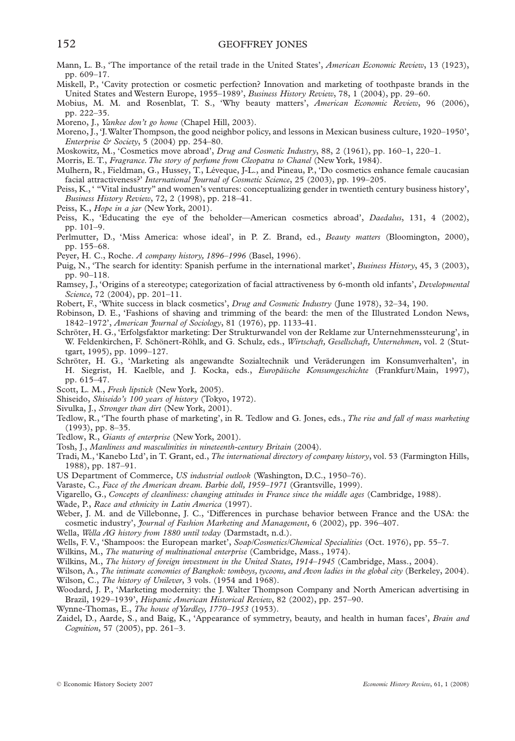#### 152 GEOFFREY JONES

- Mann, L. B., 'The importance of the retail trade in the United States', *American Economic Review*, 13 (1923), pp. 609–17.
- Miskell, P., 'Cavity protection or cosmetic perfection? Innovation and marketing of toothpaste brands in the United States and Western Europe, 1955–1989', *Business History Review*, 78, 1 (2004), pp. 29–60.
- Mobius, M. M. and Rosenblat, T. S., 'Why beauty matters', *American Economic Review*, 96 (2006), pp. 222–35.
- Moreno, J., *Yankee don't go home* (Chapel Hill, 2003).
- Moreno, J., 'J.WalterThompson, the good neighbor policy, and lessons in Mexican business culture, 1920–1950', *Enterprise & Society*, 5 (2004) pp. 254–80.
- Moskowitz, M., 'Cosmetics move abroad', *Drug and Cosmetic Industry*, 88, 2 (1961), pp. 160–1, 220–1.
- Morris, E. T., *Fragrance.The story of perfume from Cleopatra to Chanel* (New York, 1984).
- Mulhern, R., Fieldman, G., Hussey, T., Léveque, J-L., and Pineau, P., 'Do cosmetics enhance female caucasian facial attractiveness?' *International Journal of Cosmetic Science*, 25 (2003), pp. 199–205.
- Peiss, K., ' "Vital industry" and women's ventures: conceptualizing gender in twentieth century business history', *Business History Review*, 72, 2 (1998), pp. 218–41.
- Peiss, K., *Hope in a jar* (New York, 2001).
- Peiss, K., 'Educating the eye of the beholder—American cosmetics abroad', *Daedalus*, 131, 4 (2002), pp. 101–9.
- Perlmutter, D., 'Miss America: whose ideal', in P. Z. Brand, ed., *Beauty matters* (Bloomington, 2000), pp. 155–68.
- Peyer, H. C., Roche. *A company history, 1896–1996* (Basel, 1996).
- Puig, N., 'The search for identity: Spanish perfume in the international market', *Business History*, 45, 3 (2003), pp. 90–118.
- Ramsey, J., 'Origins of a stereotype; categorization of facial attractiveness by 6-month old infants', *Developmental Science*, 72 (2004), pp. 201–11.
- Robert, F., 'White success in black cosmetics', *Drug and Cosmetic Industry* (June 1978), 32–34, 190.
- Robinson, D. E., 'Fashions of shaving and trimming of the beard: the men of the Illustrated London News, 1842–1972', *American Journal of Sociology*, 81 (1976), pp. 1133-41.
- Schröter, H. G., 'Erfolgsfaktor marketing: Der Strukturwandel von der Reklame zur Unternehmenssteurung', in W. Feldenkirchen, F. Schönert-Röhlk, and G. Schulz, eds., *Wirtschaft, Gesellschaft, Unternehmen*, vol. 2 (Stuttgart, 1995), pp. 1099–127.
- Schröter, H. G., 'Marketing als angewandte Sozialtechnik und Veräderungen im Konsumverhalten', in H. Siegrist, H. Kaelble, and J. Kocka, eds., *Europäische Konsumgeschichte* (Frankfurt/Main, 1997), pp. 615–47.
- Scott, L. M., *Fresh lipstick* (New York, 2005).
- Shiseido, *Shiseido's 100 years of history* (Tokyo, 1972).
- Sivulka, J., *Stronger than dirt* (New York, 2001).
- Tedlow, R., 'The fourth phase of marketing', in R. Tedlow and G. Jones, eds., *The rise and fall of mass marketing*  $(1993)$ , pp.  $8-35$ .
- Tedlow, R., *Giants of enterprise* (New York, 2001).
- Tosh, J., *Manliness and masculinities in nineteenth-century Britain* (2004).
- Tradi, M., 'Kanebo Ltd', in T. Grant, ed., *The international directory of company history*, vol. 53 (Farmington Hills, 1988), pp. 187–91.
- US Department of Commerce, *US industrial outlook* (Washington, D.C., 1950–76).
- Varaste, C., *Face of the American dream. Barbie doll, 1959–1971* (Grantsville, 1999).
- Vigarello, G., *Concepts of cleanliness: changing attitudes in France since the middle ages* (Cambridge, 1988).
- Wade, P., *Race and ethnicity in Latin America* (1997).
- Weber, J. M. and de Villebonne, J. C., 'Differences in purchase behavior between France and the USA: the cosmetic industry', *Journal of Fashion Marketing and Management*, 6 (2002), pp. 396–407.
- Wella, *Wella AG history from 1880 until today* (Darmstadt, n.d.).
- Wells, F. V., 'Shampoos: the European market', *Soap/Cosmetics/Chemical Specialities* (Oct. 1976), pp. 55–7.
- Wilkins, M., *The maturing of multinational enterprise* (Cambridge, Mass., 1974).
- Wilkins, M., *The history of foreign investment in the United States, 1914–1945* (Cambridge, Mass., 2004).
- Wilson, A., *The intimate economies of Bangkok: tomboys, tycoons, and Avon ladies in the global city* (Berkeley, 2004). Wilson, C., *The history of Unilever*, 3 vols. (1954 and 1968).
- Woodard, J. P., 'Marketing modernity: the J. Walter Thompson Company and North American advertising in Brazil, 1929–1939', *Hispanic American Historical Review*, 82 (2002), pp. 257–90.
- Wynne-Thomas, E., *The house ofYardley, 1770–1953* (1953).
- Zaidel, D., Aarde, S., and Baig, K., 'Appearance of symmetry, beauty, and health in human faces', *Brain and Cognition*, 57 (2005), pp. 261–3.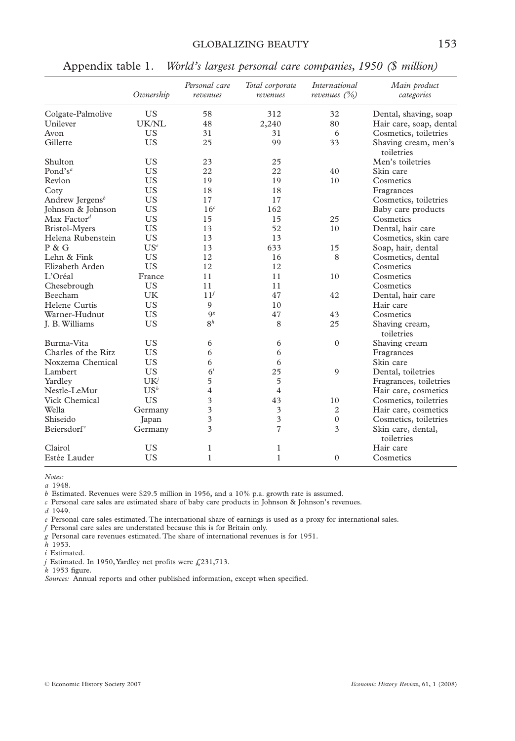# GLOBALIZING BEAUTY 153

|                             | Ownership                 | Personal care<br>revenues | Total corporate<br>revenues | International<br>revenues $(\%)$ | Main product<br>categories         |
|-----------------------------|---------------------------|---------------------------|-----------------------------|----------------------------------|------------------------------------|
| Colgate-Palmolive           | US                        | 58                        | 312                         | 32                               | Dental, shaving, soap              |
| Unilever                    | <b>UK/NL</b>              | 48                        | 2,240                       | 80                               | Hair care, soap, dental            |
| Avon                        | <b>US</b>                 | 31                        | 31                          | 6                                | Cosmetics, toiletries              |
| Gillette                    | <b>US</b>                 | 25                        | 99                          | 33                               | Shaving cream, men's<br>toiletries |
| Shulton                     | <b>US</b>                 | 23                        | 25                          |                                  | Men's toiletries                   |
| Pond's <sup>a</sup>         | <b>US</b>                 | 22                        | 22                          | 40                               | Skin care                          |
| Revlon                      | US                        | 19                        | 19                          | 10                               | Cosmetics                          |
| Coty                        | <b>US</b>                 | 18                        | 18                          |                                  | Fragrances                         |
| Andrew Jergens <sup>b</sup> | <b>US</b>                 | 17                        | 17                          |                                  | Cosmetics, toiletries              |
| Johnson & Johnson           | US                        | 16 <sup>c</sup>           | 162                         |                                  | Baby care products                 |
| $Max$ Factor <sup>d</sup>   | <b>US</b>                 | 15                        | 15                          | 25                               | Cosmetics                          |
| <b>Bristol-Myers</b>        | <b>US</b>                 | 13                        | 52                          | 10                               | Dental, hair care                  |
| Helena Rubenstein           | US                        | 13                        | 13                          |                                  | Cosmetics, skin care               |
| P & G                       | $US^e$                    | 13                        | 633                         | 15                               | Soap, hair, dental                 |
| Lehn & Fink                 | <b>US</b>                 | 12                        | 16                          | 8                                | Cosmetics, dental                  |
| Elizabeth Arden             | <b>US</b>                 | 12                        | 12                          |                                  | Cosmetics                          |
| L'Oréal                     | France                    | 11                        | 11                          | 10                               | Cosmetics                          |
| Chesebrough                 | US                        | 11                        | 11                          |                                  | Cosmetics                          |
| Beecham                     | <b>UK</b>                 | $11^f$                    | 47                          | 42                               | Dental, hair care                  |
| <b>Helene Curtis</b>        | <b>US</b>                 | 9                         | 10                          |                                  | Hair care                          |
| Warner-Hudnut               | <b>US</b>                 | 9 <sup>g</sup>            | 47                          | 43                               | Cosmetics                          |
| J. B. Williams              | <b>US</b>                 | 8 <sup>h</sup>            | 8                           | 25                               | Shaving cream,<br>toiletries       |
| Burma-Vita                  | US                        | 6                         | 6                           | $\mathbf{0}$                     | Shaving cream                      |
| Charles of the Ritz         | <b>US</b>                 | 6                         | 6                           |                                  | Fragrances                         |
| Noxzema Chemical            | US                        | 6                         | 6                           |                                  | Skin care                          |
| Lambert                     | US                        | $6^{i}$                   | 25                          | $\mathbf Q$                      | Dental, toiletries                 |
| Yardley                     | $\mathbf{U} \mathbf{K}^j$ | 5                         | 5                           |                                  | Fragrances, toiletries             |
| Nestle-LeMur                | $US^k$                    | $\overline{4}$            | $\overline{4}$              |                                  | Hair care, cosmetics               |
| <b>Vick Chemical</b>        | <b>US</b>                 | 3                         | 43                          | 10                               | Cosmetics, toiletries              |
| Wella                       | Germany                   | 3                         | 3                           | 2                                | Hair care, cosmetics               |
| Shiseido                    | Japan                     | 3                         | 3                           | $\mathbf{0}$                     | Cosmetics, toiletries              |
| Beiersdorf <sup>e</sup>     | Germany                   | 3                         | $\overline{7}$              | 3                                | Skin care, dental,<br>toiletries   |
| Clairol                     | US                        | $\mathbf{1}$              | $\mathbf{1}$                |                                  | Hair care                          |
| Estée Lauder                | <b>US</b>                 | $\mathbf{1}$              | $\mathbf{1}$                | $\mathbf{0}$                     | Cosmetics                          |

| Appendix table 1. |  |  | World's largest personal care companies, 1950 (\$ million) |  |  |
|-------------------|--|--|------------------------------------------------------------|--|--|
|-------------------|--|--|------------------------------------------------------------|--|--|

*Notes:*

*a* 1948.

*b* Estimated. Revenues were \$29.5 million in 1956, and a 10% p.a. growth rate is assumed.

*c* Personal care sales are estimated share of baby care products in Johnson & Johnson's revenues.

*d* 1949.

*e* Personal care sales estimated. The international share of earnings is used as a proxy for international sales. *f* Personal care sales are understated because this is for Britain only.

*g* Personal care revenues estimated. The share of international revenues is for 1951.

*h* 1953.

*i* Estimated.

*j* Estimated. In 1950, Yardley net profits were  $\text{\textsterling}231,713$ .

*k* 1953 figure.

*Sources:* Annual reports and other published information, except when specified.